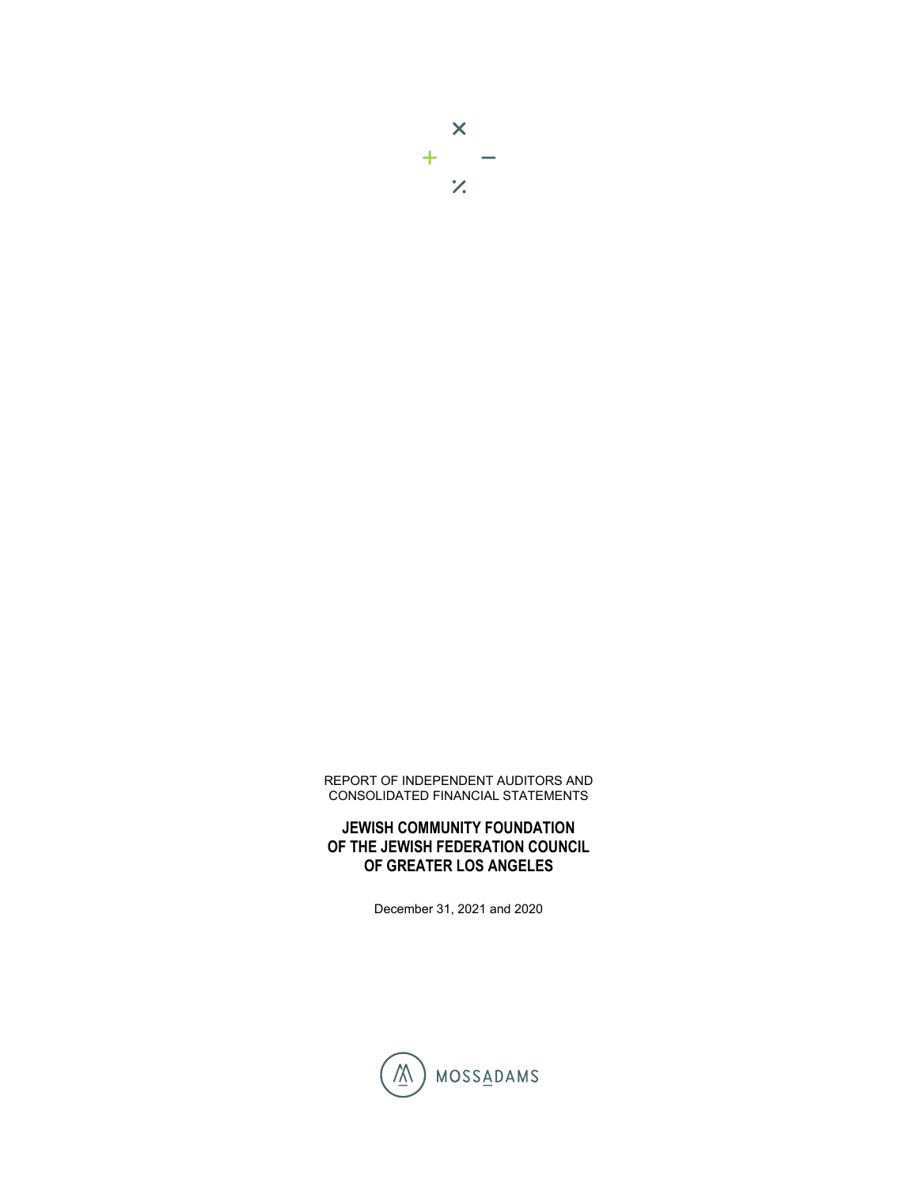

REPORT OF INDEPENDENT AUDITORS AND CONSOLIDATED FINANCIAL STATEMENTS

**JEWISH COMMUNITY FOUNDATION OF THE JEWISH FEDERATION COUNCIL OF GREATER LOS ANGELES** 

December 31, 2021 and 2020

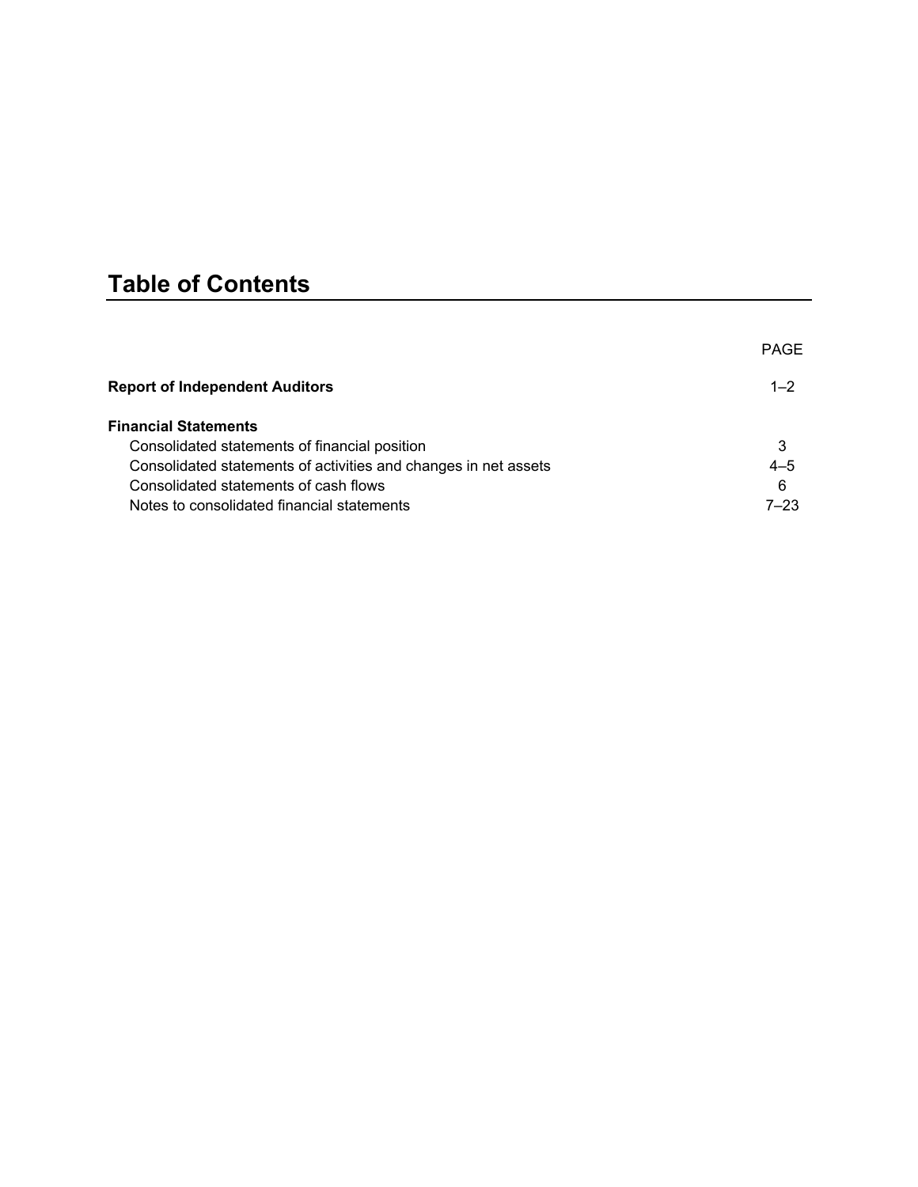# **Table of Contents**

|                                                                 | <b>PAGE</b> |
|-----------------------------------------------------------------|-------------|
| <b>Report of Independent Auditors</b>                           | $1 - 2$     |
| <b>Financial Statements</b>                                     |             |
| Consolidated statements of financial position                   | 3           |
| Consolidated statements of activities and changes in net assets | $4 - 5$     |
| Consolidated statements of cash flows                           | 6           |
| Notes to consolidated financial statements                      | $7 - 23$    |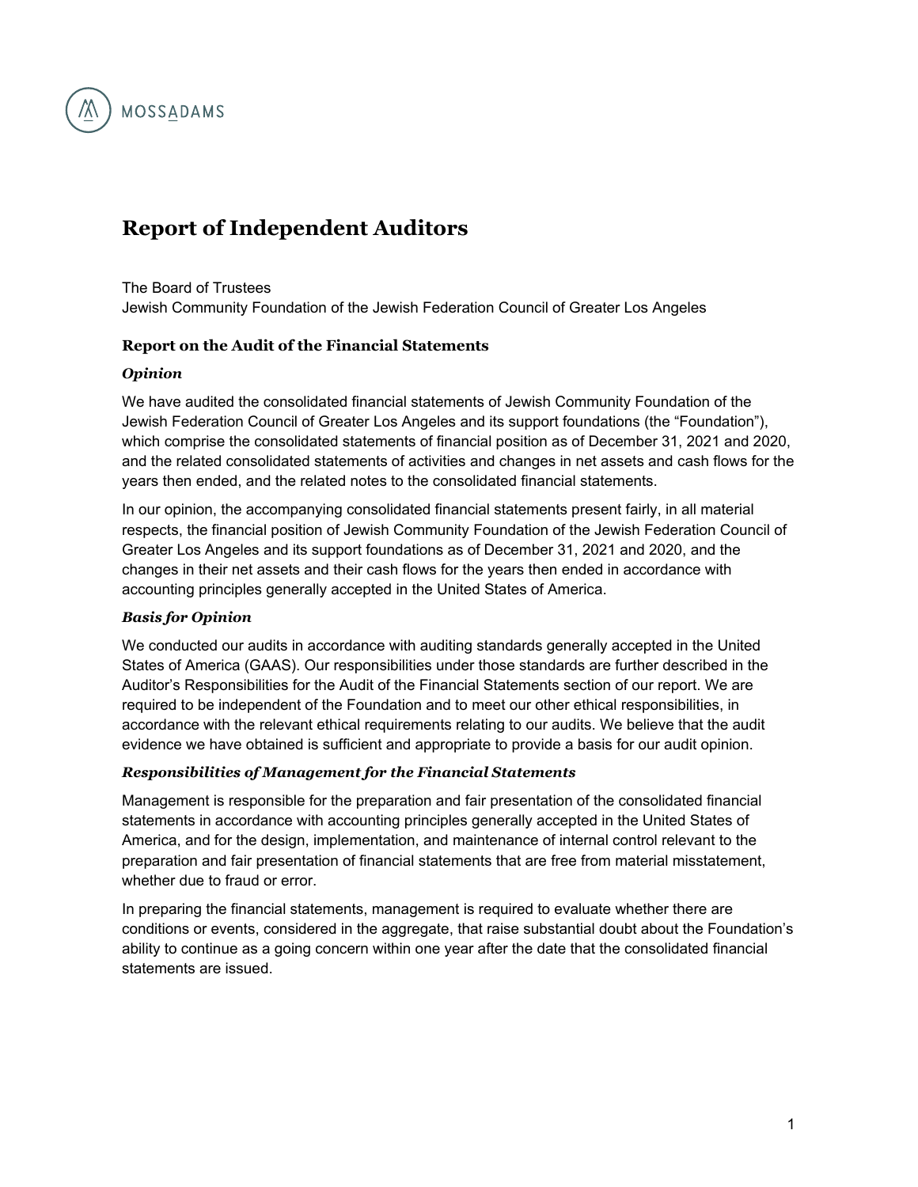

## **Report of Independent Auditors**

The Board of Trustees Jewish Community Foundation of the Jewish Federation Council of Greater Los Angeles

### **Report on the Audit of the Financial Statements**

#### *Opinion*

We have audited the consolidated financial statements of Jewish Community Foundation of the Jewish Federation Council of Greater Los Angeles and its support foundations (the "Foundation"), which comprise the consolidated statements of financial position as of December 31, 2021 and 2020, and the related consolidated statements of activities and changes in net assets and cash flows for the years then ended, and the related notes to the consolidated financial statements.

In our opinion, the accompanying consolidated financial statements present fairly, in all material respects, the financial position of Jewish Community Foundation of the Jewish Federation Council of Greater Los Angeles and its support foundations as of December 31, 2021 and 2020, and the changes in their net assets and their cash flows for the years then ended in accordance with accounting principles generally accepted in the United States of America.

### *Basis for Opinion*

We conducted our audits in accordance with auditing standards generally accepted in the United States of America (GAAS). Our responsibilities under those standards are further described in the Auditor's Responsibilities for the Audit of the Financial Statements section of our report. We are required to be independent of the Foundation and to meet our other ethical responsibilities, in accordance with the relevant ethical requirements relating to our audits. We believe that the audit evidence we have obtained is sufficient and appropriate to provide a basis for our audit opinion.

### *Responsibilities of Management for the Financial Statements*

Management is responsible for the preparation and fair presentation of the consolidated financial statements in accordance with accounting principles generally accepted in the United States of America, and for the design, implementation, and maintenance of internal control relevant to the preparation and fair presentation of financial statements that are free from material misstatement, whether due to fraud or error.

In preparing the financial statements, management is required to evaluate whether there are conditions or events, considered in the aggregate, that raise substantial doubt about the Foundation's ability to continue as a going concern within one year after the date that the consolidated financial statements are issued.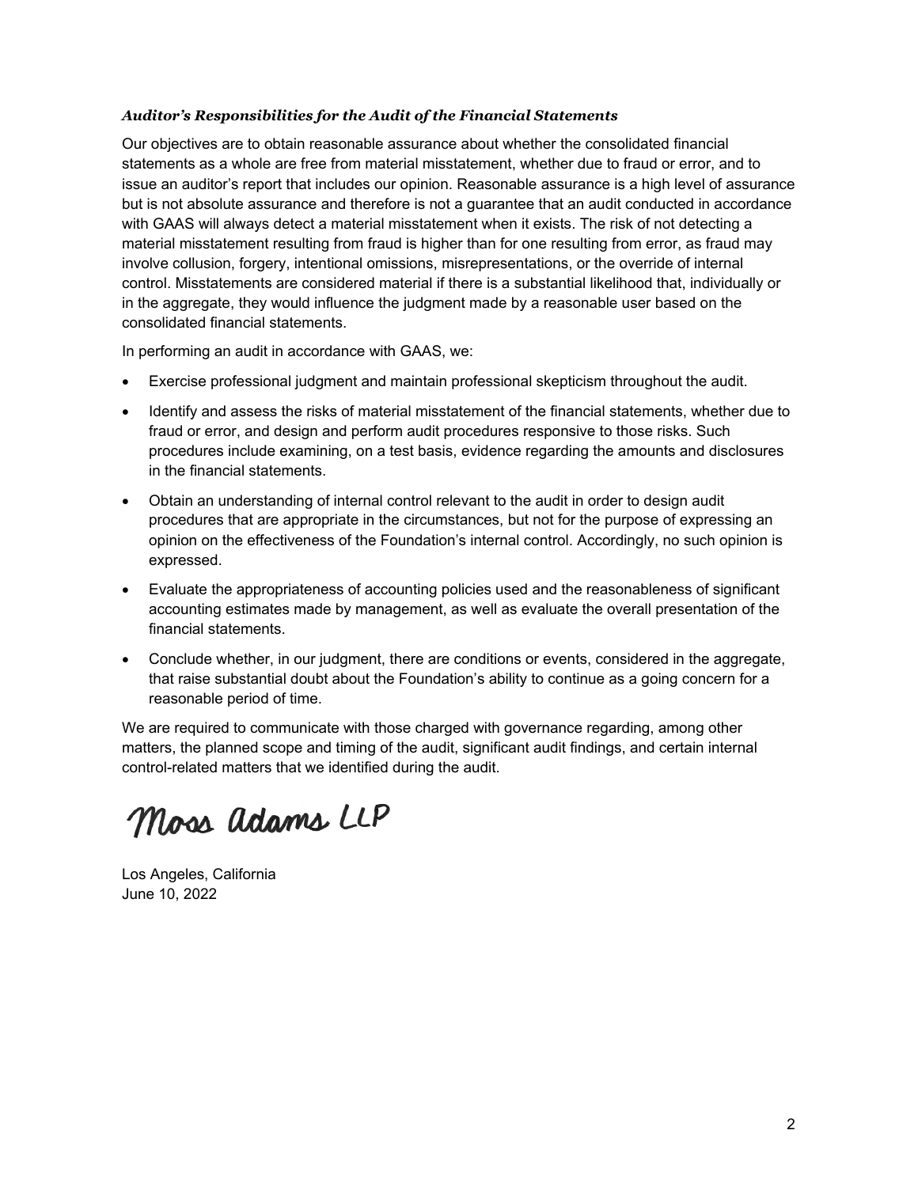#### *Auditor's Responsibilities for the Audit of the Financial Statements*

Our objectives are to obtain reasonable assurance about whether the consolidated financial statements as a whole are free from material misstatement, whether due to fraud or error, and to issue an auditor's report that includes our opinion. Reasonable assurance is a high level of assurance but is not absolute assurance and therefore is not a guarantee that an audit conducted in accordance with GAAS will always detect a material misstatement when it exists. The risk of not detecting a material misstatement resulting from fraud is higher than for one resulting from error, as fraud may involve collusion, forgery, intentional omissions, misrepresentations, or the override of internal control. Misstatements are considered material if there is a substantial likelihood that, individually or in the aggregate, they would influence the judgment made by a reasonable user based on the consolidated financial statements.

In performing an audit in accordance with GAAS, we:

- Exercise professional judgment and maintain professional skepticism throughout the audit.
- Identify and assess the risks of material misstatement of the financial statements, whether due to fraud or error, and design and perform audit procedures responsive to those risks. Such procedures include examining, on a test basis, evidence regarding the amounts and disclosures in the financial statements.
- Obtain an understanding of internal control relevant to the audit in order to design audit procedures that are appropriate in the circumstances, but not for the purpose of expressing an opinion on the effectiveness of the Foundation's internal control. Accordingly, no such opinion is expressed.
- Evaluate the appropriateness of accounting policies used and the reasonableness of significant accounting estimates made by management, as well as evaluate the overall presentation of the financial statements.
- Conclude whether, in our judgment, there are conditions or events, considered in the aggregate, that raise substantial doubt about the Foundation's ability to continue as a going concern for a reasonable period of time.

We are required to communicate with those charged with governance regarding, among other matters, the planned scope and timing of the audit, significant audit findings, and certain internal control-related matters that we identified during the audit.

Moss adams LLP

Los Angeles, California June 10, 2022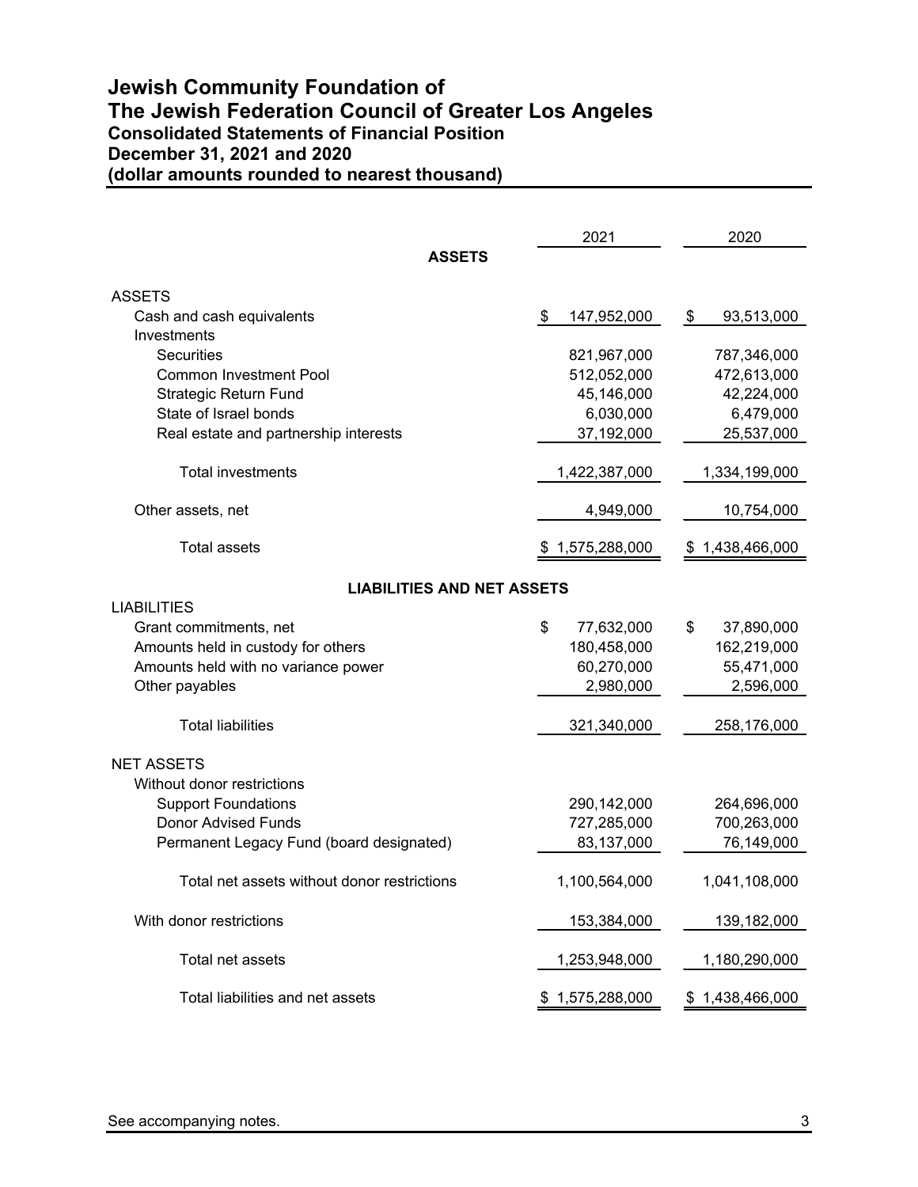### **Jewish Community Foundation of The Jewish Federation Council of Greater Los Angeles Consolidated Statements of Financial Position December 31, 2021 and 2020 (dollar amounts rounded to nearest thousand)**

|                                              | 2021                | 2020                |
|----------------------------------------------|---------------------|---------------------|
| <b>ASSETS</b>                                |                     |                     |
| <b>ASSETS</b>                                |                     |                     |
| Cash and cash equivalents                    | 147,952,000<br>\$   | \$<br>93,513,000    |
| Investments                                  |                     |                     |
| <b>Securities</b>                            | 821,967,000         | 787,346,000         |
| <b>Common Investment Pool</b>                | 512,052,000         | 472,613,000         |
| <b>Strategic Return Fund</b>                 | 45,146,000          | 42,224,000          |
| State of Israel bonds                        | 6,030,000           | 6,479,000           |
| Real estate and partnership interests        | 37,192,000          | 25,537,000          |
| <b>Total investments</b>                     | 1,422,387,000       | 1,334,199,000       |
| Other assets, net                            | 4,949,000           | 10,754,000          |
| <b>Total assets</b>                          | 1,575,288,000<br>\$ | 1,438,466,000<br>\$ |
|                                              |                     |                     |
| <b>LIABILITIES AND NET ASSETS</b>            |                     |                     |
| <b>LIABILITIES</b><br>Grant commitments, net | \$<br>77,632,000    | \$<br>37,890,000    |
| Amounts held in custody for others           | 180,458,000         | 162,219,000         |
| Amounts held with no variance power          | 60,270,000          | 55,471,000          |
| Other payables                               | 2,980,000           | 2,596,000           |
|                                              |                     |                     |
| <b>Total liabilities</b>                     | 321,340,000         | 258,176,000         |
| <b>NET ASSETS</b>                            |                     |                     |
| Without donor restrictions                   |                     |                     |
| <b>Support Foundations</b>                   | 290,142,000         | 264,696,000         |
| <b>Donor Advised Funds</b>                   | 727,285,000         | 700,263,000         |
| Permanent Legacy Fund (board designated)     | 83,137,000          | 76,149,000          |
| Total net assets without donor restrictions  | 1,100,564,000       | 1,041,108,000       |
| With donor restrictions                      | 153,384,000         | 139,182,000         |
| Total net assets                             | 1,253,948,000       | 1,180,290,000       |
| Total liabilities and net assets             | \$1,575,288,000     | \$1,438,466,000     |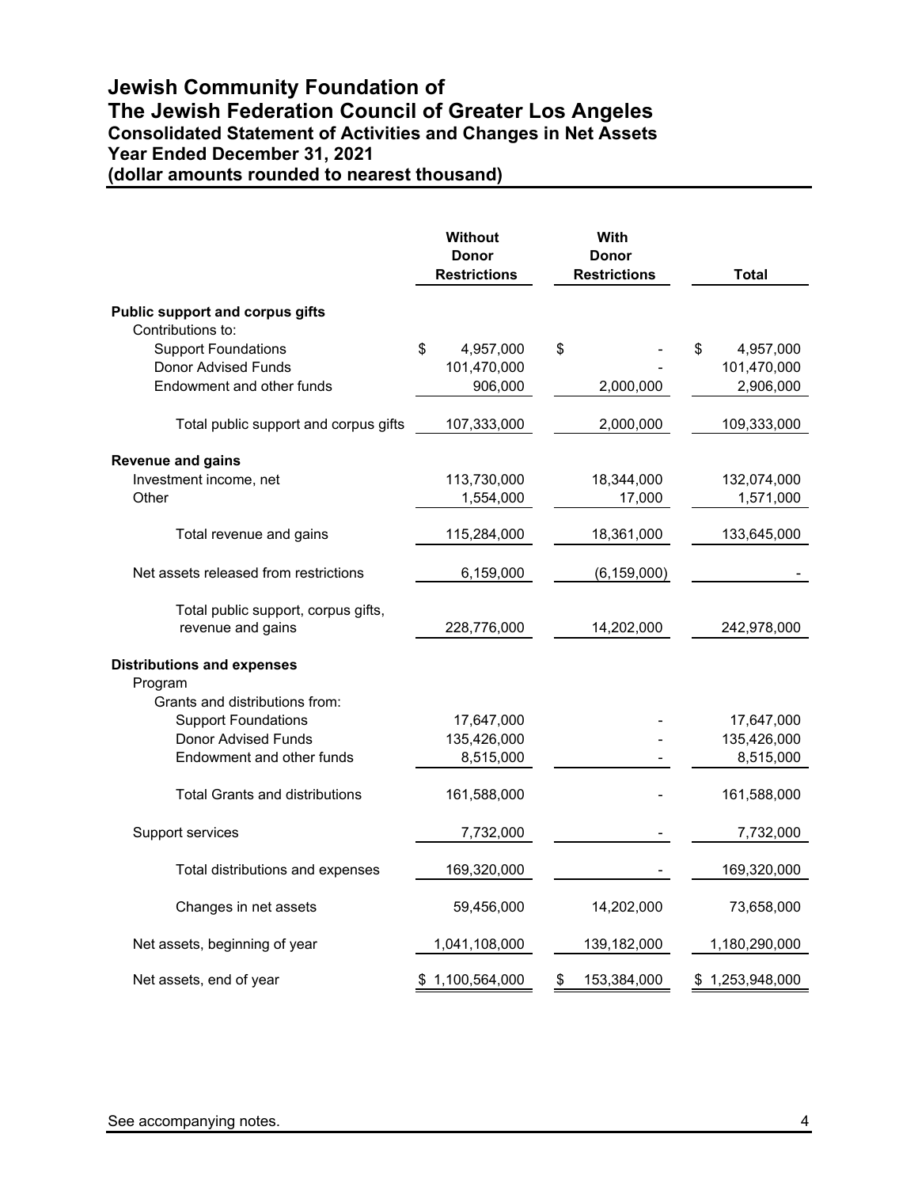### **Jewish Community Foundation of The Jewish Federation Council of Greater Los Angeles Consolidated Statement of Activities and Changes in Net Assets Year Ended December 31, 2021 (dollar amounts rounded to nearest thousand)**

|                                              | <b>Without</b><br><b>Donor</b><br><b>Restrictions</b> | With<br><b>Donor</b><br><b>Restrictions</b> | <b>Total</b>    |
|----------------------------------------------|-------------------------------------------------------|---------------------------------------------|-----------------|
| <b>Public support and corpus gifts</b>       |                                                       |                                             |                 |
| Contributions to:                            |                                                       |                                             |                 |
| <b>Support Foundations</b>                   | \$<br>4,957,000                                       | \$                                          | \$<br>4,957,000 |
| Donor Advised Funds                          | 101,470,000                                           |                                             | 101,470,000     |
| Endowment and other funds                    | 906,000                                               | 2,000,000                                   | 2,906,000       |
| Total public support and corpus gifts        | 107,333,000                                           | 2,000,000                                   | 109,333,000     |
| <b>Revenue and gains</b>                     |                                                       |                                             |                 |
| Investment income, net                       | 113,730,000                                           | 18,344,000                                  | 132,074,000     |
| Other                                        | 1,554,000                                             | 17,000                                      | 1,571,000       |
| Total revenue and gains                      | 115,284,000                                           | 18,361,000                                  | 133,645,000     |
| Net assets released from restrictions        | 6,159,000                                             | (6, 159, 000)                               |                 |
| Total public support, corpus gifts,          |                                                       |                                             |                 |
| revenue and gains                            | 228,776,000                                           | 14,202,000                                  | 242,978,000     |
| <b>Distributions and expenses</b><br>Program |                                                       |                                             |                 |
| Grants and distributions from:               |                                                       |                                             |                 |
| <b>Support Foundations</b>                   | 17,647,000                                            |                                             | 17,647,000      |
| <b>Donor Advised Funds</b>                   | 135,426,000                                           |                                             | 135,426,000     |
| Endowment and other funds                    | 8,515,000                                             |                                             | 8,515,000       |
| <b>Total Grants and distributions</b>        | 161,588,000                                           |                                             | 161,588,000     |
| Support services                             | 7,732,000                                             |                                             | 7,732,000       |
| Total distributions and expenses             | 169,320,000                                           |                                             | 169,320,000     |
| Changes in net assets                        | 59,456,000                                            | 14,202,000                                  | 73,658,000      |
| Net assets, beginning of year                | 1,041,108,000                                         | 139,182,000                                 | 1,180,290,000   |
| Net assets, end of year                      | \$1,100,564,000                                       | \$<br>153,384,000                           | \$1,253,948,000 |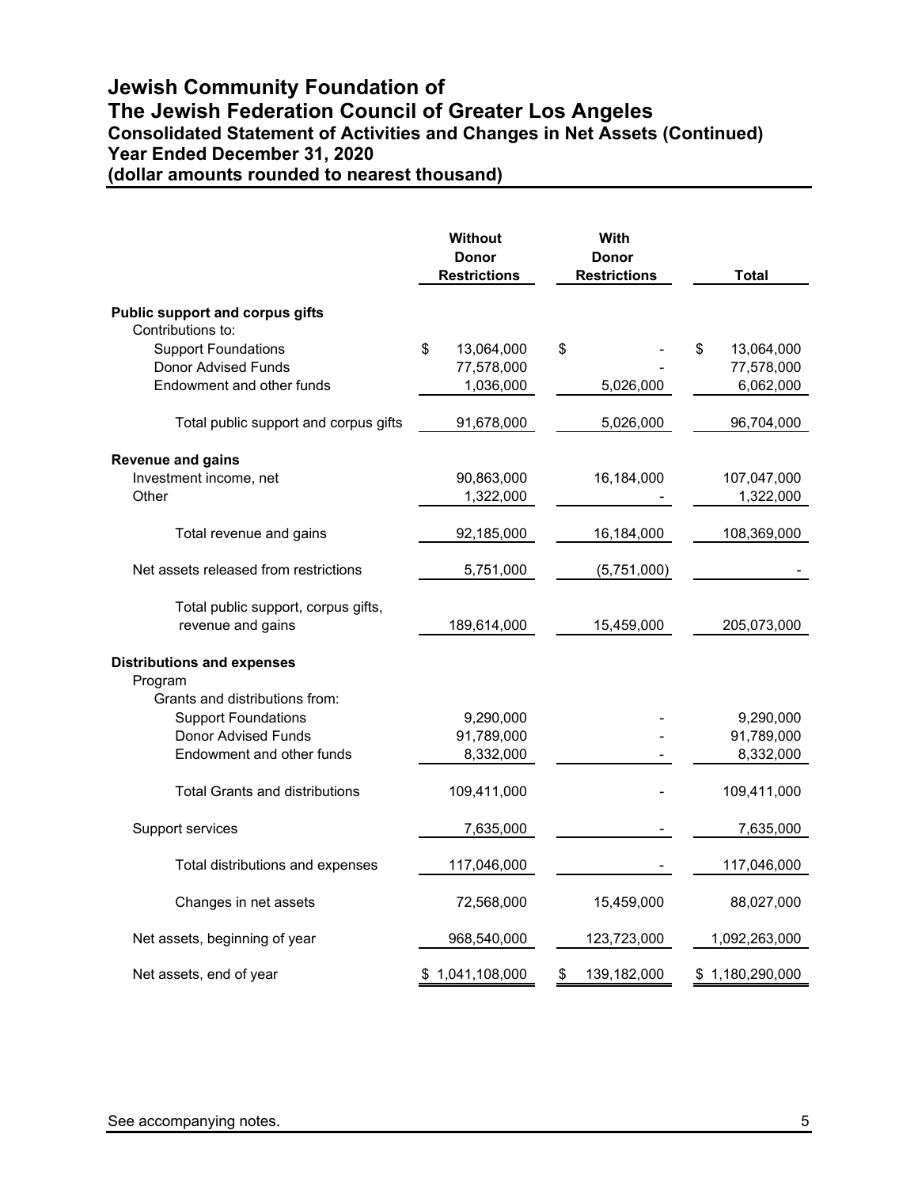### **Jewish Community Foundation of The Jewish Federation Council of Greater Los Angeles Consolidated Statement of Activities and Changes in Net Assets (Continued) Year Ended December 31, 2020 (dollar amounts rounded to nearest thousand)**

|                                                          | <b>Without</b><br><b>Donor</b><br><b>Restrictions</b> | With<br><b>Donor</b><br><b>Restrictions</b> | Total            |
|----------------------------------------------------------|-------------------------------------------------------|---------------------------------------------|------------------|
| <b>Public support and corpus gifts</b>                   |                                                       |                                             |                  |
| Contributions to:                                        |                                                       |                                             |                  |
| <b>Support Foundations</b>                               | \$<br>13,064,000                                      | \$                                          | \$<br>13,064,000 |
| Donor Advised Funds                                      | 77,578,000                                            |                                             | 77,578,000       |
| Endowment and other funds                                | 1,036,000                                             | 5,026,000                                   | 6,062,000        |
| Total public support and corpus gifts                    | 91,678,000                                            | 5,026,000                                   | 96,704,000       |
| <b>Revenue and gains</b>                                 |                                                       |                                             |                  |
| Investment income, net                                   | 90,863,000                                            | 16,184,000                                  | 107,047,000      |
| Other                                                    | 1,322,000                                             |                                             | 1,322,000        |
| Total revenue and gains                                  | 92,185,000                                            | 16,184,000                                  | 108,369,000      |
| Net assets released from restrictions                    | 5,751,000                                             | (5,751,000)                                 |                  |
| Total public support, corpus gifts,<br>revenue and gains | 189,614,000                                           | 15,459,000                                  | 205,073,000      |
| <b>Distributions and expenses</b><br>Program             |                                                       |                                             |                  |
| Grants and distributions from:                           |                                                       |                                             |                  |
| <b>Support Foundations</b>                               | 9,290,000                                             |                                             | 9,290,000        |
| Donor Advised Funds                                      | 91,789,000                                            |                                             | 91,789,000       |
| Endowment and other funds                                | 8,332,000                                             |                                             | 8,332,000        |
| <b>Total Grants and distributions</b>                    | 109,411,000                                           |                                             | 109,411,000      |
| Support services                                         | 7,635,000                                             |                                             | 7,635,000        |
| Total distributions and expenses                         | 117,046,000                                           |                                             | 117,046,000      |
| Changes in net assets                                    | 72,568,000                                            | 15,459,000                                  | 88,027,000       |
| Net assets, beginning of year                            | 968,540,000                                           | 123,723,000                                 | 1,092,263,000    |
| Net assets, end of year                                  | \$1,041,108,000                                       | \$<br>139,182,000                           | \$1,180,290,000  |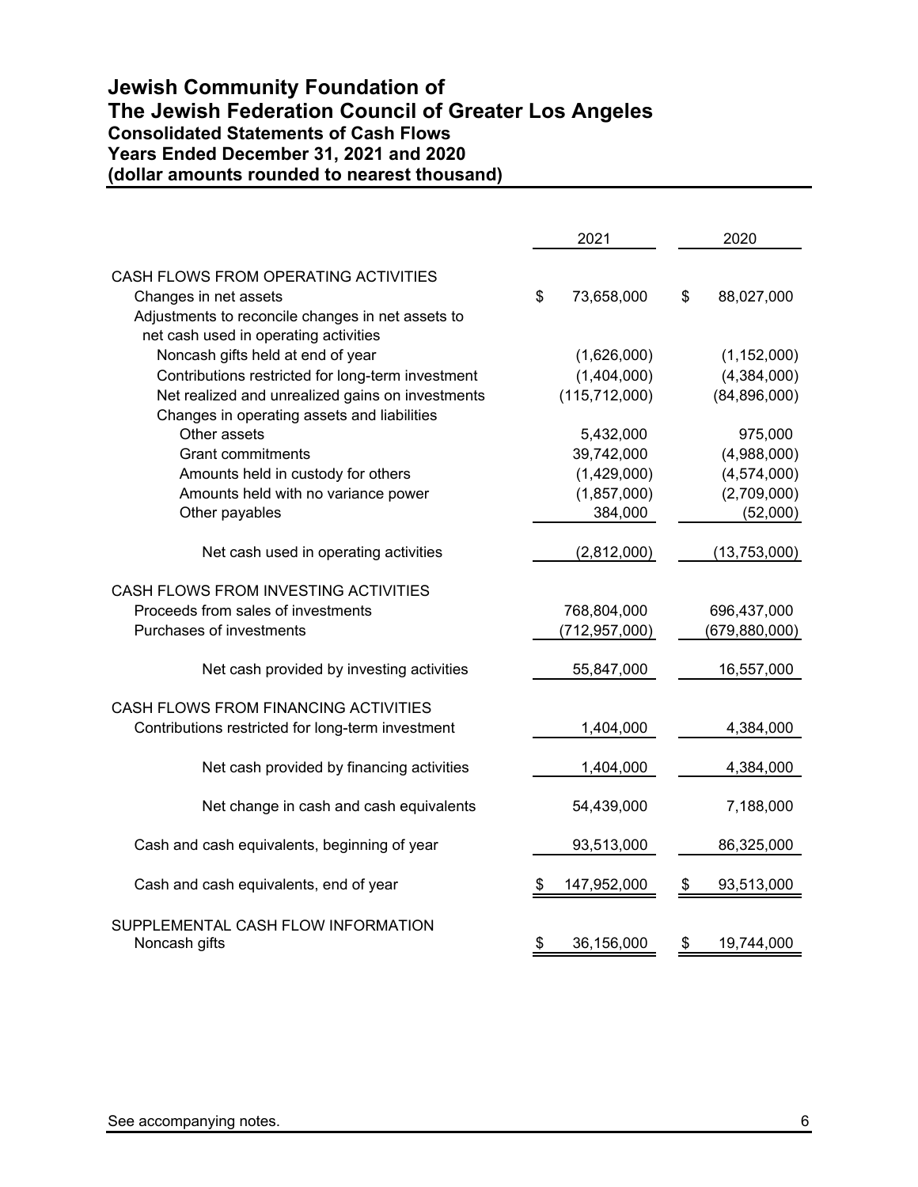### **Jewish Community Foundation of The Jewish Federation Council of Greater Los Angeles Consolidated Statements of Cash Flows Years Ended December 31, 2021 and 2020 (dollar amounts rounded to nearest thousand)**

|                                                   | 2021              | 2020             |
|---------------------------------------------------|-------------------|------------------|
| CASH FLOWS FROM OPERATING ACTIVITIES              |                   |                  |
| Changes in net assets                             | \$<br>73,658,000  | \$<br>88,027,000 |
| Adjustments to reconcile changes in net assets to |                   |                  |
| net cash used in operating activities             |                   |                  |
| Noncash gifts held at end of year                 | (1,626,000)       | (1, 152, 000)    |
| Contributions restricted for long-term investment | (1,404,000)       | (4,384,000)      |
| Net realized and unrealized gains on investments  | (115, 712, 000)   | (84, 896, 000)   |
| Changes in operating assets and liabilities       |                   |                  |
| Other assets                                      | 5,432,000         | 975,000          |
| <b>Grant commitments</b>                          | 39,742,000        | (4,988,000)      |
| Amounts held in custody for others                | (1,429,000)       | (4,574,000)      |
| Amounts held with no variance power               | (1,857,000)       | (2,709,000)      |
| Other payables                                    | 384,000           | (52,000)         |
| Net cash used in operating activities             | (2,812,000)       | (13,753,000)     |
|                                                   |                   |                  |
| CASH FLOWS FROM INVESTING ACTIVITIES              |                   |                  |
| Proceeds from sales of investments                | 768,804,000       | 696,437,000      |
| Purchases of investments                          | (712, 957, 000)   | (679, 880, 000)  |
|                                                   |                   |                  |
| Net cash provided by investing activities         | 55,847,000        | 16,557,000       |
| CASH FLOWS FROM FINANCING ACTIVITIES              |                   |                  |
| Contributions restricted for long-term investment | 1,404,000         | 4,384,000        |
|                                                   |                   |                  |
| Net cash provided by financing activities         | 1,404,000         | 4,384,000        |
|                                                   |                   |                  |
| Net change in cash and cash equivalents           | 54,439,000        | 7,188,000        |
| Cash and cash equivalents, beginning of year      | 93,513,000        | 86,325,000       |
|                                                   |                   |                  |
| Cash and cash equivalents, end of year            | 147,952,000<br>\$ | 93,513,000<br>\$ |
| SUPPLEMENTAL CASH FLOW INFORMATION                |                   |                  |
| Noncash gifts                                     | 36,156,000<br>\$  | 19,744,000<br>\$ |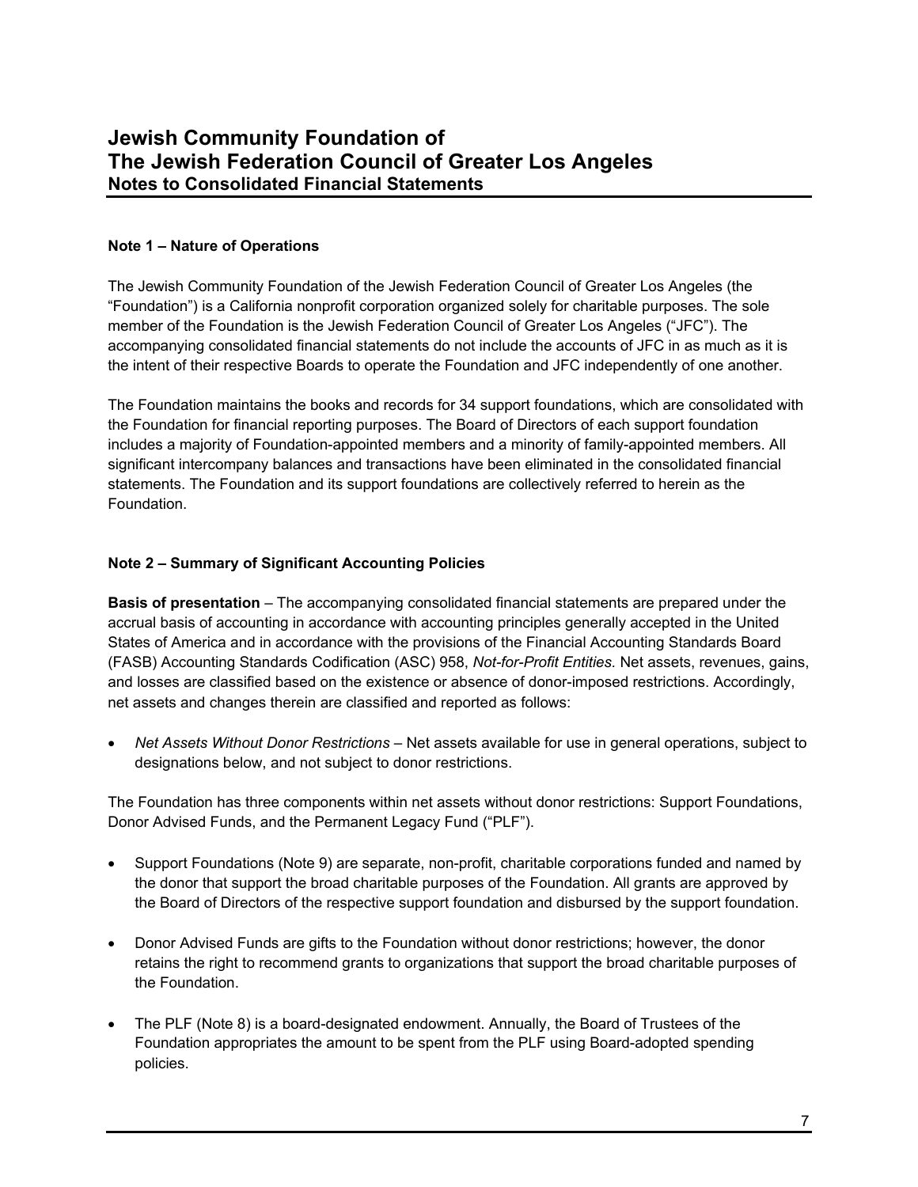### **Note 1 – Nature of Operations**

The Jewish Community Foundation of the Jewish Federation Council of Greater Los Angeles (the "Foundation") is a California nonprofit corporation organized solely for charitable purposes. The sole member of the Foundation is the Jewish Federation Council of Greater Los Angeles ("JFC"). The accompanying consolidated financial statements do not include the accounts of JFC in as much as it is the intent of their respective Boards to operate the Foundation and JFC independently of one another.

The Foundation maintains the books and records for 34 support foundations, which are consolidated with the Foundation for financial reporting purposes. The Board of Directors of each support foundation includes a majority of Foundation-appointed members and a minority of family-appointed members. All significant intercompany balances and transactions have been eliminated in the consolidated financial statements. The Foundation and its support foundations are collectively referred to herein as the Foundation.

### **Note 2 – Summary of Significant Accounting Policies**

**Basis of presentation** – The accompanying consolidated financial statements are prepared under the accrual basis of accounting in accordance with accounting principles generally accepted in the United States of America and in accordance with the provisions of the Financial Accounting Standards Board (FASB) Accounting Standards Codification (ASC) 958, *Not-for-Profit Entities.* Net assets, revenues, gains, and losses are classified based on the existence or absence of donor-imposed restrictions. Accordingly, net assets and changes therein are classified and reported as follows:

 *Net Assets Without Donor Restrictions* – Net assets available for use in general operations, subject to designations below, and not subject to donor restrictions.

The Foundation has three components within net assets without donor restrictions: Support Foundations, Donor Advised Funds, and the Permanent Legacy Fund ("PLF").

- Support Foundations (Note 9) are separate, non-profit, charitable corporations funded and named by the donor that support the broad charitable purposes of the Foundation. All grants are approved by the Board of Directors of the respective support foundation and disbursed by the support foundation.
- Donor Advised Funds are gifts to the Foundation without donor restrictions; however, the donor retains the right to recommend grants to organizations that support the broad charitable purposes of the Foundation.
- The PLF (Note 8) is a board-designated endowment. Annually, the Board of Trustees of the Foundation appropriates the amount to be spent from the PLF using Board-adopted spending policies.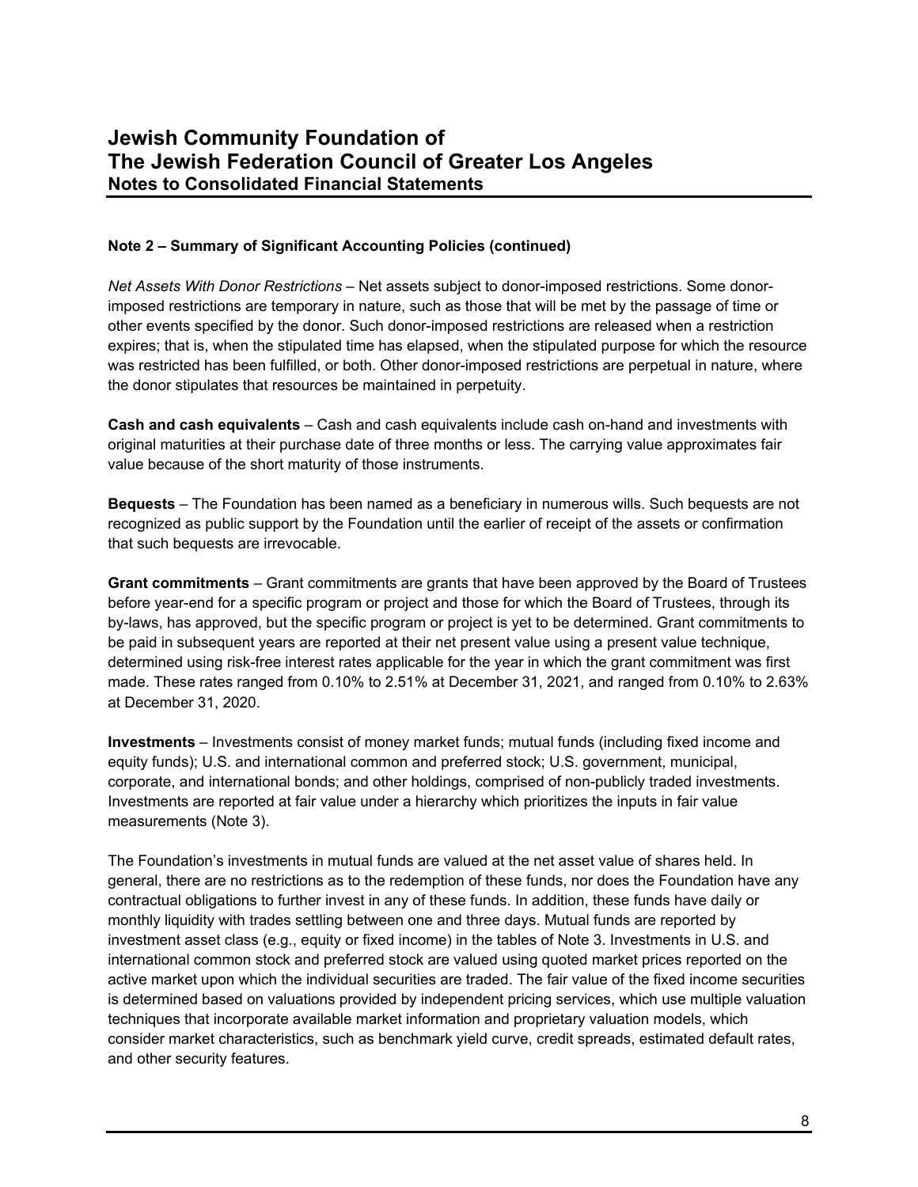### **Note 2 – Summary of Significant Accounting Policies (continued)**

*Net Assets With Donor Restrictions* – Net assets subject to donor-imposed restrictions. Some donorimposed restrictions are temporary in nature, such as those that will be met by the passage of time or other events specified by the donor. Such donor-imposed restrictions are released when a restriction expires; that is, when the stipulated time has elapsed, when the stipulated purpose for which the resource was restricted has been fulfilled, or both. Other donor-imposed restrictions are perpetual in nature, where the donor stipulates that resources be maintained in perpetuity.

**Cash and cash equivalents** – Cash and cash equivalents include cash on-hand and investments with original maturities at their purchase date of three months or less. The carrying value approximates fair value because of the short maturity of those instruments.

**Bequests** – The Foundation has been named as a beneficiary in numerous wills. Such bequests are not recognized as public support by the Foundation until the earlier of receipt of the assets or confirmation that such bequests are irrevocable.

**Grant commitments** – Grant commitments are grants that have been approved by the Board of Trustees before year-end for a specific program or project and those for which the Board of Trustees, through its by-laws, has approved, but the specific program or project is yet to be determined. Grant commitments to be paid in subsequent years are reported at their net present value using a present value technique, determined using risk-free interest rates applicable for the year in which the grant commitment was first made. These rates ranged from 0.10% to 2.51% at December 31, 2021, and ranged from 0.10% to 2.63% at December 31, 2020.

**Investments** – Investments consist of money market funds; mutual funds (including fixed income and equity funds); U.S. and international common and preferred stock; U.S. government, municipal, corporate, and international bonds; and other holdings, comprised of non-publicly traded investments. Investments are reported at fair value under a hierarchy which prioritizes the inputs in fair value measurements (Note 3).

The Foundation's investments in mutual funds are valued at the net asset value of shares held. In general, there are no restrictions as to the redemption of these funds, nor does the Foundation have any contractual obligations to further invest in any of these funds. In addition, these funds have daily or monthly liquidity with trades settling between one and three days. Mutual funds are reported by investment asset class (e.g., equity or fixed income) in the tables of Note 3. Investments in U.S. and international common stock and preferred stock are valued using quoted market prices reported on the active market upon which the individual securities are traded. The fair value of the fixed income securities is determined based on valuations provided by independent pricing services, which use multiple valuation techniques that incorporate available market information and proprietary valuation models, which consider market characteristics, such as benchmark yield curve, credit spreads, estimated default rates, and other security features.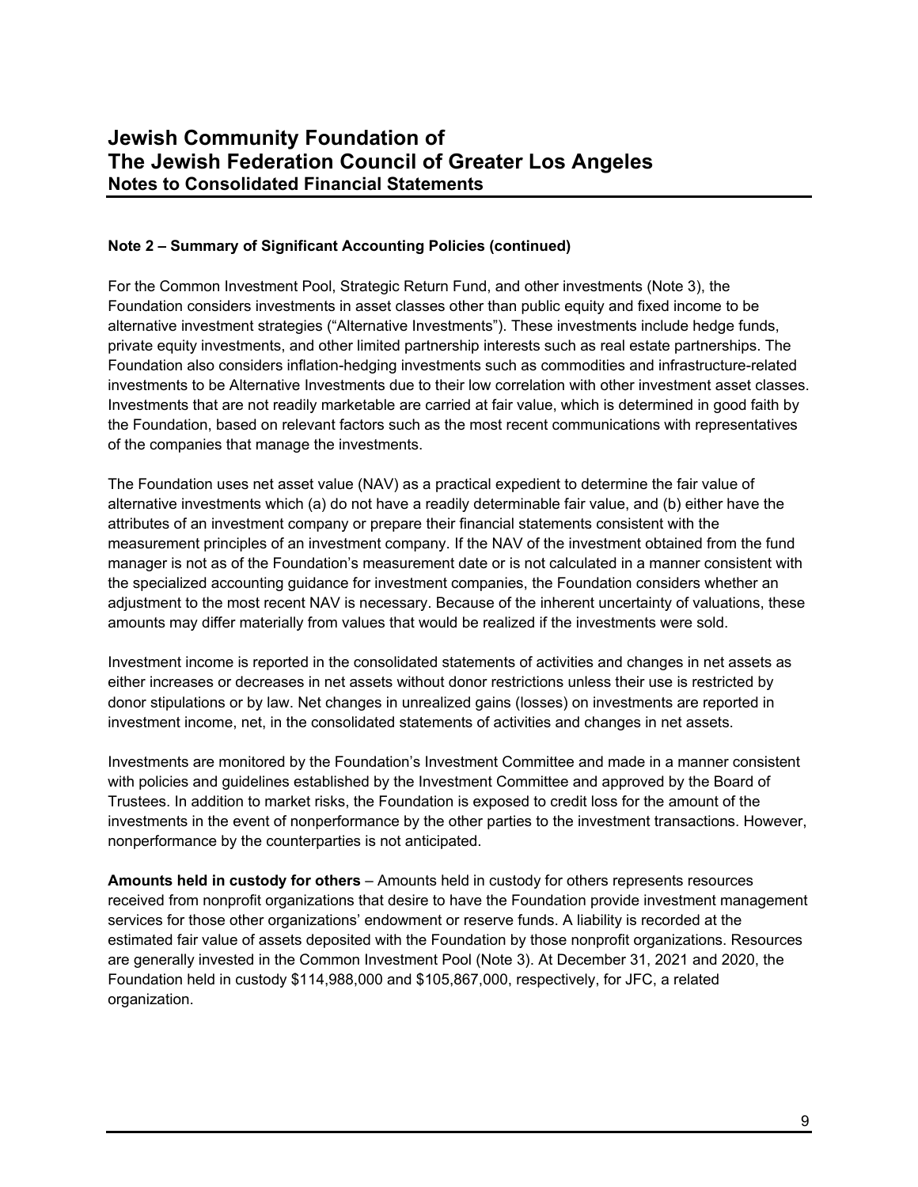### **Note 2 – Summary of Significant Accounting Policies (continued)**

For the Common Investment Pool, Strategic Return Fund, and other investments (Note 3), the Foundation considers investments in asset classes other than public equity and fixed income to be alternative investment strategies ("Alternative Investments"). These investments include hedge funds, private equity investments, and other limited partnership interests such as real estate partnerships. The Foundation also considers inflation-hedging investments such as commodities and infrastructure-related investments to be Alternative Investments due to their low correlation with other investment asset classes. Investments that are not readily marketable are carried at fair value, which is determined in good faith by the Foundation, based on relevant factors such as the most recent communications with representatives of the companies that manage the investments.

The Foundation uses net asset value (NAV) as a practical expedient to determine the fair value of alternative investments which (a) do not have a readily determinable fair value, and (b) either have the attributes of an investment company or prepare their financial statements consistent with the measurement principles of an investment company. If the NAV of the investment obtained from the fund manager is not as of the Foundation's measurement date or is not calculated in a manner consistent with the specialized accounting guidance for investment companies, the Foundation considers whether an adjustment to the most recent NAV is necessary. Because of the inherent uncertainty of valuations, these amounts may differ materially from values that would be realized if the investments were sold.

Investment income is reported in the consolidated statements of activities and changes in net assets as either increases or decreases in net assets without donor restrictions unless their use is restricted by donor stipulations or by law. Net changes in unrealized gains (losses) on investments are reported in investment income, net, in the consolidated statements of activities and changes in net assets.

Investments are monitored by the Foundation's Investment Committee and made in a manner consistent with policies and guidelines established by the Investment Committee and approved by the Board of Trustees. In addition to market risks, the Foundation is exposed to credit loss for the amount of the investments in the event of nonperformance by the other parties to the investment transactions. However, nonperformance by the counterparties is not anticipated.

**Amounts held in custody for others** – Amounts held in custody for others represents resources received from nonprofit organizations that desire to have the Foundation provide investment management services for those other organizations' endowment or reserve funds. A liability is recorded at the estimated fair value of assets deposited with the Foundation by those nonprofit organizations. Resources are generally invested in the Common Investment Pool (Note 3). At December 31, 2021 and 2020, the Foundation held in custody \$114,988,000 and \$105,867,000, respectively, for JFC, a related organization.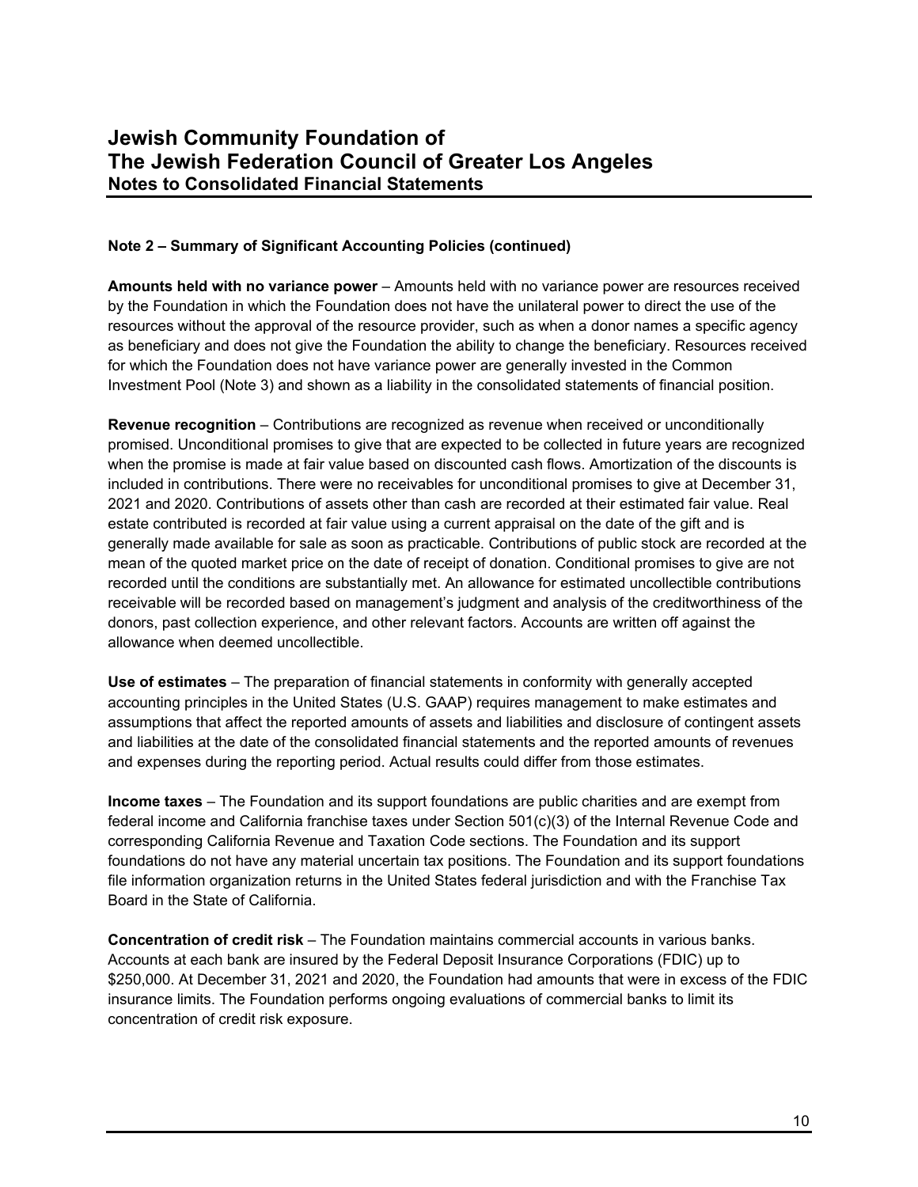### **Note 2 – Summary of Significant Accounting Policies (continued)**

**Amounts held with no variance power** – Amounts held with no variance power are resources received by the Foundation in which the Foundation does not have the unilateral power to direct the use of the resources without the approval of the resource provider, such as when a donor names a specific agency as beneficiary and does not give the Foundation the ability to change the beneficiary. Resources received for which the Foundation does not have variance power are generally invested in the Common Investment Pool (Note 3) and shown as a liability in the consolidated statements of financial position.

**Revenue recognition** – Contributions are recognized as revenue when received or unconditionally promised. Unconditional promises to give that are expected to be collected in future years are recognized when the promise is made at fair value based on discounted cash flows. Amortization of the discounts is included in contributions. There were no receivables for unconditional promises to give at December 31, 2021 and 2020. Contributions of assets other than cash are recorded at their estimated fair value. Real estate contributed is recorded at fair value using a current appraisal on the date of the gift and is generally made available for sale as soon as practicable. Contributions of public stock are recorded at the mean of the quoted market price on the date of receipt of donation. Conditional promises to give are not recorded until the conditions are substantially met. An allowance for estimated uncollectible contributions receivable will be recorded based on management's judgment and analysis of the creditworthiness of the donors, past collection experience, and other relevant factors. Accounts are written off against the allowance when deemed uncollectible.

**Use of estimates** – The preparation of financial statements in conformity with generally accepted accounting principles in the United States (U.S. GAAP) requires management to make estimates and assumptions that affect the reported amounts of assets and liabilities and disclosure of contingent assets and liabilities at the date of the consolidated financial statements and the reported amounts of revenues and expenses during the reporting period. Actual results could differ from those estimates.

**Income taxes** – The Foundation and its support foundations are public charities and are exempt from federal income and California franchise taxes under Section 501(c)(3) of the Internal Revenue Code and corresponding California Revenue and Taxation Code sections. The Foundation and its support foundations do not have any material uncertain tax positions. The Foundation and its support foundations file information organization returns in the United States federal jurisdiction and with the Franchise Tax Board in the State of California.

**Concentration of credit risk** – The Foundation maintains commercial accounts in various banks. Accounts at each bank are insured by the Federal Deposit Insurance Corporations (FDIC) up to \$250,000. At December 31, 2021 and 2020, the Foundation had amounts that were in excess of the FDIC insurance limits. The Foundation performs ongoing evaluations of commercial banks to limit its concentration of credit risk exposure.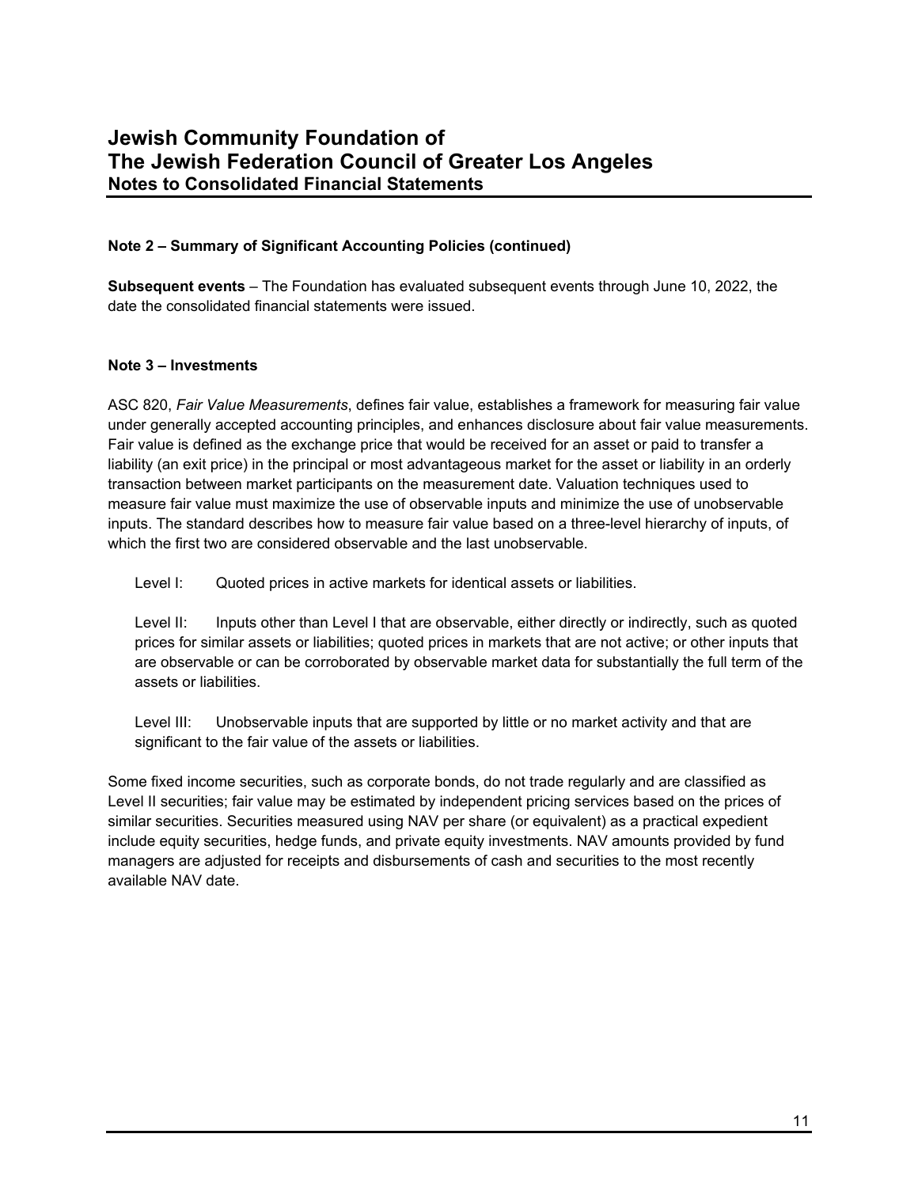### **Note 2 – Summary of Significant Accounting Policies (continued)**

**Subsequent events** – The Foundation has evaluated subsequent events through June 10, 2022, the date the consolidated financial statements were issued.

### **Note 3 – Investments**

ASC 820, *Fair Value Measurements*, defines fair value, establishes a framework for measuring fair value under generally accepted accounting principles, and enhances disclosure about fair value measurements. Fair value is defined as the exchange price that would be received for an asset or paid to transfer a liability (an exit price) in the principal or most advantageous market for the asset or liability in an orderly transaction between market participants on the measurement date. Valuation techniques used to measure fair value must maximize the use of observable inputs and minimize the use of unobservable inputs. The standard describes how to measure fair value based on a three-level hierarchy of inputs, of which the first two are considered observable and the last unobservable.

Level I: Quoted prices in active markets for identical assets or liabilities.

Level II: Inputs other than Level I that are observable, either directly or indirectly, such as quoted prices for similar assets or liabilities; quoted prices in markets that are not active; or other inputs that are observable or can be corroborated by observable market data for substantially the full term of the assets or liabilities.

Level III: Unobservable inputs that are supported by little or no market activity and that are significant to the fair value of the assets or liabilities.

Some fixed income securities, such as corporate bonds, do not trade regularly and are classified as Level II securities; fair value may be estimated by independent pricing services based on the prices of similar securities. Securities measured using NAV per share (or equivalent) as a practical expedient include equity securities, hedge funds, and private equity investments. NAV amounts provided by fund managers are adjusted for receipts and disbursements of cash and securities to the most recently available NAV date.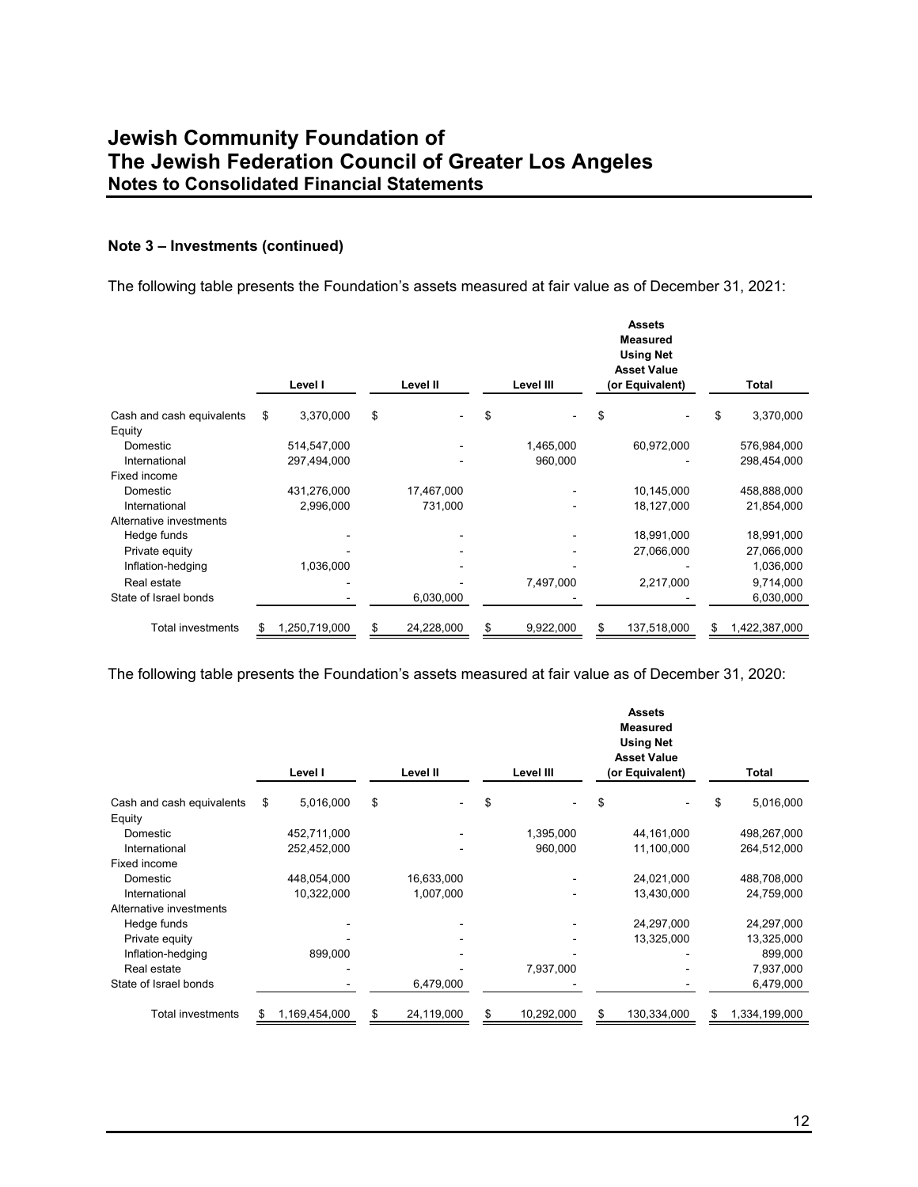#### **Note 3 – Investments (continued)**

The following table presents the Foundation's assets measured at fair value as of December 31, 2021:

|                           |    | Level I       | Level II         | Level III       | <b>Assets</b><br><b>Measured</b><br><b>Using Net</b><br><b>Asset Value</b><br>(or Equivalent) | Total               |
|---------------------------|----|---------------|------------------|-----------------|-----------------------------------------------------------------------------------------------|---------------------|
| Cash and cash equivalents | \$ | 3,370,000     | \$               | \$              | \$                                                                                            | 3,370,000           |
| Equity                    |    |               |                  |                 |                                                                                               |                     |
| Domestic                  |    | 514,547,000   |                  | 1,465,000       | 60,972,000                                                                                    | 576,984,000         |
| International             |    | 297,494,000   |                  | 960,000         |                                                                                               | 298,454,000         |
| Fixed income              |    |               |                  |                 |                                                                                               |                     |
| Domestic                  |    | 431,276,000   | 17,467,000       |                 | 10,145,000                                                                                    | 458,888,000         |
| International             |    | 2,996,000     | 731,000          |                 | 18,127,000                                                                                    | 21,854,000          |
| Alternative investments   |    |               |                  |                 |                                                                                               |                     |
| Hedge funds               |    |               |                  |                 | 18,991,000                                                                                    | 18,991,000          |
| Private equity            |    |               |                  |                 | 27,066,000                                                                                    | 27,066,000          |
| Inflation-hedging         |    | 1,036,000     |                  |                 |                                                                                               | 1,036,000           |
| Real estate               |    |               |                  | 7,497,000       | 2,217,000                                                                                     | 9,714,000           |
| State of Israel bonds     |    |               | 6,030,000        |                 |                                                                                               | 6,030,000           |
| <b>Total investments</b>  | S  | 1,250,719,000 | \$<br>24,228,000 | \$<br>9,922,000 | \$<br>137,518,000                                                                             | \$<br>1,422,387,000 |

The following table presents the Foundation's assets measured at fair value as of December 31, 2020:

|                           | Level I             |     | Level II   | Level III        | <b>Assets</b><br><b>Measured</b><br><b>Using Net</b><br><b>Asset Value</b><br>(or Equivalent) | Total               |
|---------------------------|---------------------|-----|------------|------------------|-----------------------------------------------------------------------------------------------|---------------------|
| Cash and cash equivalents | \$<br>5,016,000     | \$  |            | \$               | \$                                                                                            | \$<br>5,016,000     |
| Equity                    |                     |     |            |                  |                                                                                               |                     |
| Domestic                  | 452,711,000         |     |            | 1,395,000        | 44,161,000                                                                                    | 498,267,000         |
| International             | 252,452,000         |     |            | 960,000          | 11,100,000                                                                                    | 264,512,000         |
| Fixed income              |                     |     |            |                  |                                                                                               |                     |
| Domestic                  | 448,054,000         |     | 16,633,000 |                  | 24,021,000                                                                                    | 488,708,000         |
| International             | 10,322,000          |     | 1,007,000  |                  | 13,430,000                                                                                    | 24,759,000          |
| Alternative investments   |                     |     |            |                  |                                                                                               |                     |
| Hedge funds               |                     |     |            |                  | 24,297,000                                                                                    | 24,297,000          |
| Private equity            |                     |     |            |                  | 13,325,000                                                                                    | 13,325,000          |
| Inflation-hedging         | 899,000             |     |            |                  |                                                                                               | 899,000             |
| Real estate               |                     |     |            | 7,937,000        |                                                                                               | 7,937,000           |
| State of Israel bonds     |                     |     | 6,479,000  |                  |                                                                                               | 6,479,000           |
| Total investments         | \$<br>1,169,454,000 | \$. | 24,119,000 | \$<br>10,292,000 | \$<br>130,334,000                                                                             | \$<br>1,334,199,000 |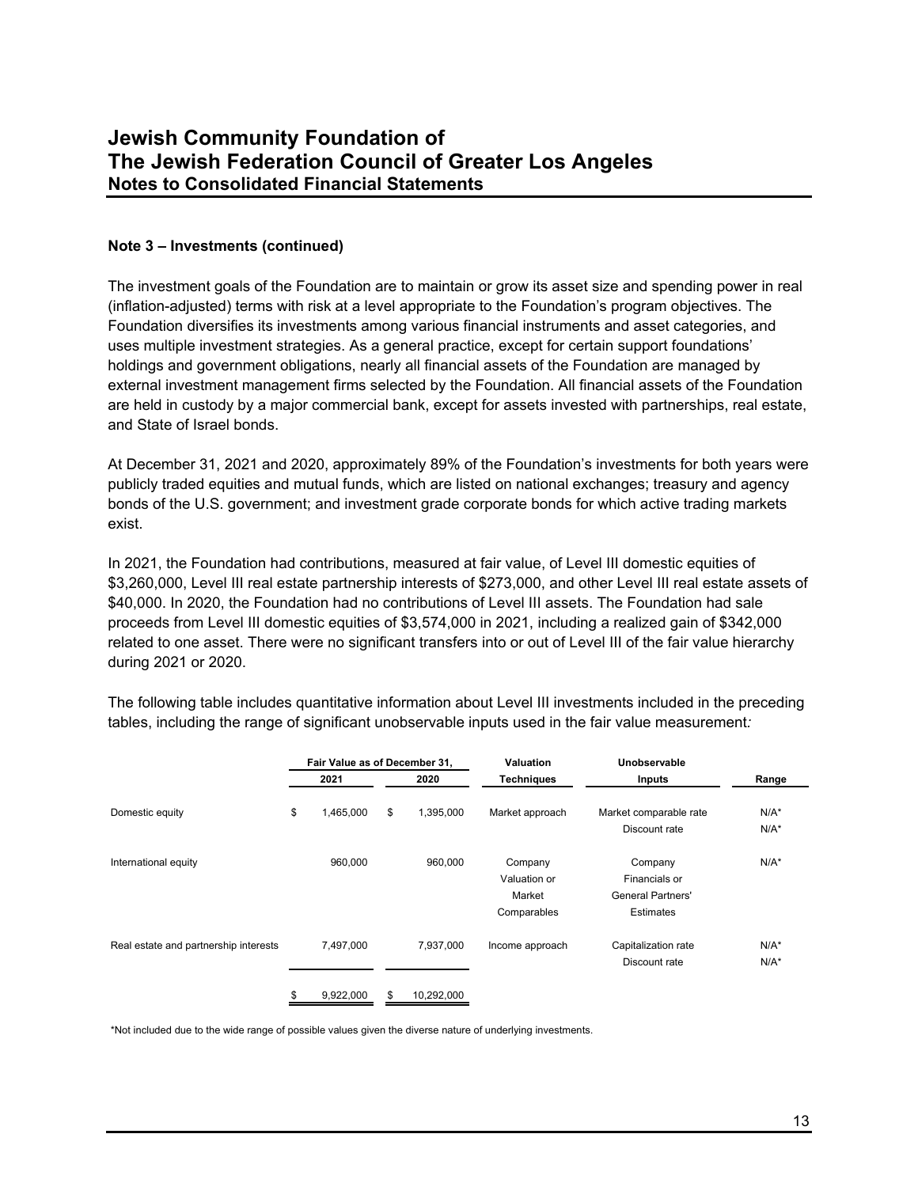#### **Note 3 – Investments (continued)**

The investment goals of the Foundation are to maintain or grow its asset size and spending power in real (inflation-adjusted) terms with risk at a level appropriate to the Foundation's program objectives. The Foundation diversifies its investments among various financial instruments and asset categories, and uses multiple investment strategies. As a general practice, except for certain support foundations' holdings and government obligations, nearly all financial assets of the Foundation are managed by external investment management firms selected by the Foundation. All financial assets of the Foundation are held in custody by a major commercial bank, except for assets invested with partnerships, real estate, and State of Israel bonds.

At December 31, 2021 and 2020, approximately 89% of the Foundation's investments for both years were publicly traded equities and mutual funds, which are listed on national exchanges; treasury and agency bonds of the U.S. government; and investment grade corporate bonds for which active trading markets exist.

In 2021, the Foundation had contributions, measured at fair value, of Level III domestic equities of \$3,260,000, Level III real estate partnership interests of \$273,000, and other Level III real estate assets of \$40,000. In 2020, the Foundation had no contributions of Level III assets. The Foundation had sale proceeds from Level III domestic equities of \$3,574,000 in 2021, including a realized gain of \$342,000 related to one asset. There were no significant transfers into or out of Level III of the fair value hierarchy during 2021 or 2020.

|                                       | Fair Value as of December 31, |                  | <b>Valuation</b>                                 | Unobservable                                                      |                    |
|---------------------------------------|-------------------------------|------------------|--------------------------------------------------|-------------------------------------------------------------------|--------------------|
|                                       | 2021                          | 2020             | <b>Techniques</b>                                | Inputs                                                            | Range              |
| Domestic equity                       | \$<br>1,465,000               | \$<br>1,395,000  | Market approach                                  | Market comparable rate<br>Discount rate                           | $N/A^*$<br>$N/A^*$ |
| International equity                  | 960,000                       | 960.000          | Company<br>Valuation or<br>Market<br>Comparables | Company<br>Financials or<br><b>General Partners'</b><br>Estimates | $N/A^*$            |
| Real estate and partnership interests | 7.497.000                     | 7.937.000        | Income approach                                  | Capitalization rate<br>Discount rate                              | $N/A^*$<br>$N/A^*$ |
|                                       | 9,922,000                     | \$<br>10,292,000 |                                                  |                                                                   |                    |

The following table includes quantitative information about Level III investments included in the preceding tables, including the range of significant unobservable inputs used in the fair value measurement*:* 

\*Not included due to the wide range of possible values given the diverse nature of underlying investments.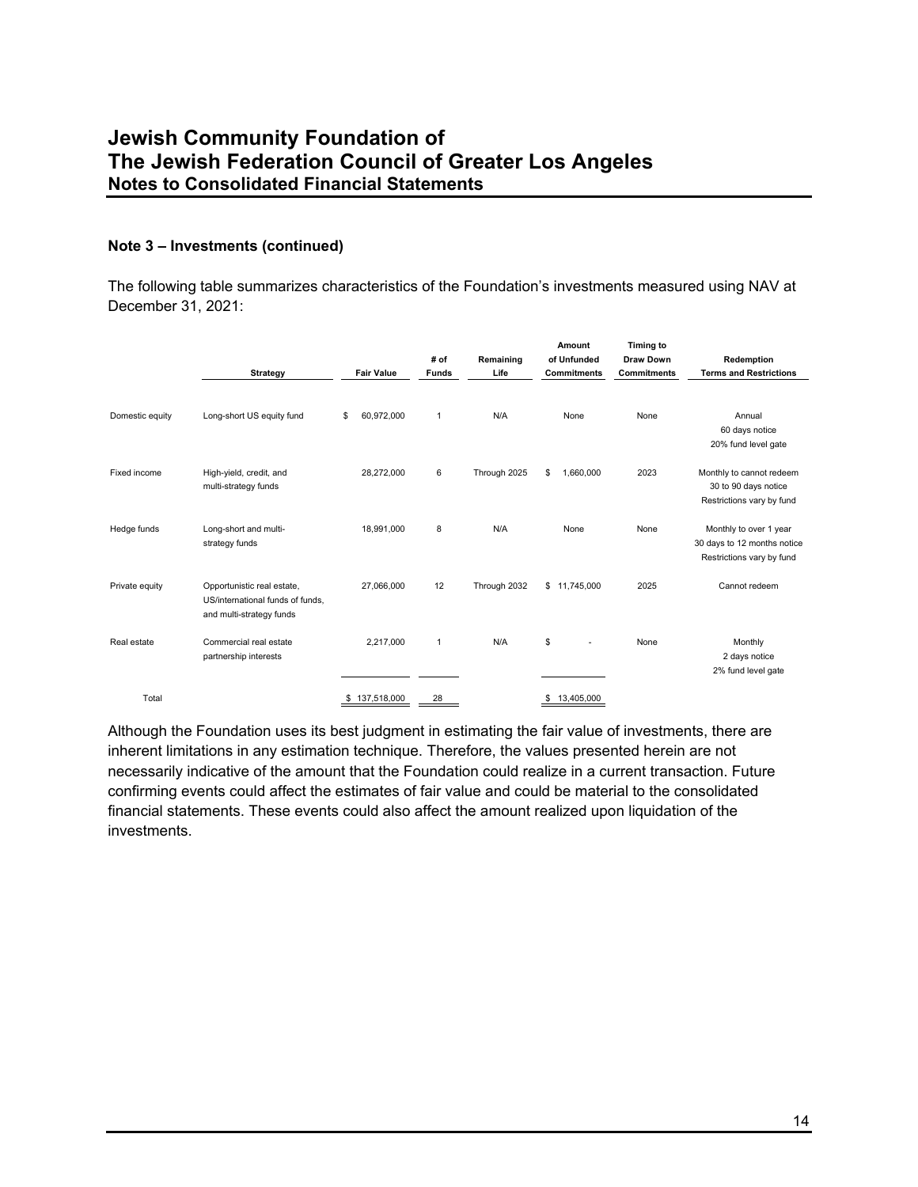### **Note 3 – Investments (continued)**

The following table summarizes characteristics of the Foundation's investments measured using NAV at December 31, 2021:

|                 | <b>Strategy</b>                                                                            |    | <b>Fair Value</b> | # of<br><b>Funds</b> | Remaining<br>Life |    | Amount<br>of Unfunded<br><b>Commitments</b> | <b>Timing to</b><br><b>Draw Down</b><br><b>Commitments</b> | Redemption<br><b>Terms and Restrictions</b>                                        |
|-----------------|--------------------------------------------------------------------------------------------|----|-------------------|----------------------|-------------------|----|---------------------------------------------|------------------------------------------------------------|------------------------------------------------------------------------------------|
| Domestic equity | Long-short US equity fund                                                                  | \$ | 60,972,000        | $\mathbf{1}$         | N/A               |    | None                                        | None                                                       | Annual<br>60 days notice<br>20% fund level gate                                    |
| Fixed income    | High-yield, credit, and<br>multi-strategy funds                                            |    | 28,272,000        | 6                    | Through 2025      | \$ | 1,660,000                                   | 2023                                                       | Monthly to cannot redeem<br>30 to 90 days notice<br>Restrictions vary by fund      |
| Hedge funds     | Long-short and multi-<br>strategy funds                                                    |    | 18,991,000        | 8                    | N/A               |    | None                                        | None                                                       | Monthly to over 1 year<br>30 days to 12 months notice<br>Restrictions vary by fund |
| Private equity  | Opportunistic real estate,<br>US/international funds of funds,<br>and multi-strategy funds |    | 27,066,000        | 12                   | Through 2032      |    | \$11,745,000                                | 2025                                                       | Cannot redeem                                                                      |
| Real estate     | Commercial real estate<br>partnership interests                                            |    | 2,217,000         | $\mathbf{1}$         | N/A               | \$ | ٠                                           | None                                                       | Monthly<br>2 days notice<br>2% fund level gate                                     |
| Total           |                                                                                            | S. | 137,518,000       | 28                   |                   | S  | 13,405,000                                  |                                                            |                                                                                    |

Although the Foundation uses its best judgment in estimating the fair value of investments, there are inherent limitations in any estimation technique. Therefore, the values presented herein are not necessarily indicative of the amount that the Foundation could realize in a current transaction. Future confirming events could affect the estimates of fair value and could be material to the consolidated financial statements. These events could also affect the amount realized upon liquidation of the investments.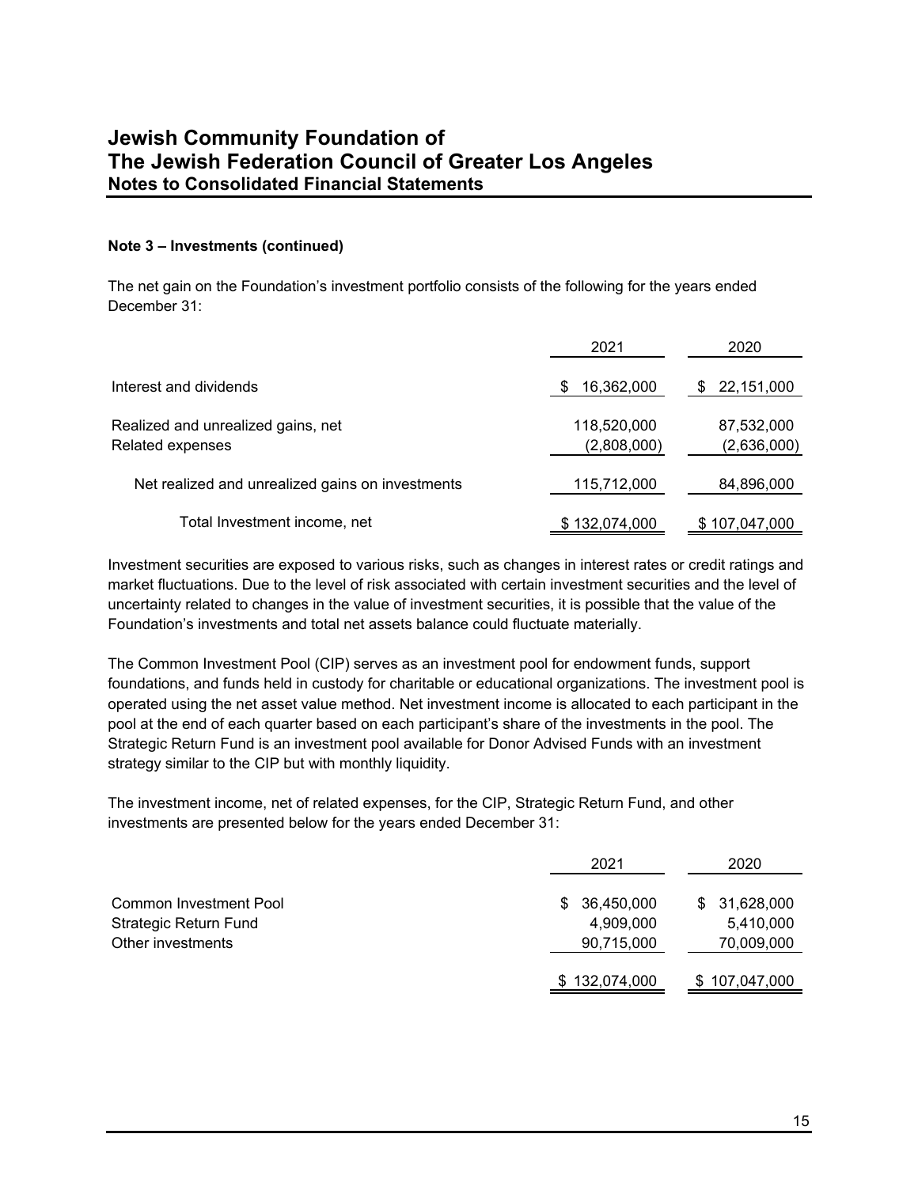### **Note 3 – Investments (continued)**

The net gain on the Foundation's investment portfolio consists of the following for the years ended December 31:

|                                                        | 2021                       | 2020                      |
|--------------------------------------------------------|----------------------------|---------------------------|
| Interest and dividends                                 | 16,362,000                 | 22,151,000                |
| Realized and unrealized gains, net<br>Related expenses | 118,520,000<br>(2,808,000) | 87,532,000<br>(2,636,000) |
| Net realized and unrealized gains on investments       | 115,712,000                | 84,896,000                |
| Total Investment income, net                           | \$132,074,000              | \$107,047,000             |

Investment securities are exposed to various risks, such as changes in interest rates or credit ratings and market fluctuations. Due to the level of risk associated with certain investment securities and the level of uncertainty related to changes in the value of investment securities, it is possible that the value of the Foundation's investments and total net assets balance could fluctuate materially.

The Common Investment Pool (CIP) serves as an investment pool for endowment funds, support foundations, and funds held in custody for charitable or educational organizations. The investment pool is operated using the net asset value method. Net investment income is allocated to each participant in the pool at the end of each quarter based on each participant's share of the investments in the pool. The Strategic Return Fund is an investment pool available for Donor Advised Funds with an investment strategy similar to the CIP but with monthly liquidity.

The investment income, net of related expenses, for the CIP, Strategic Return Fund, and other investments are presented below for the years ended December 31:

|                                                                             | 2021                                        | 2020                                    |
|-----------------------------------------------------------------------------|---------------------------------------------|-----------------------------------------|
| Common Investment Pool<br><b>Strategic Return Fund</b><br>Other investments | 36,450,000<br>S.<br>4,909,000<br>90,715,000 | \$31,628,000<br>5,410,000<br>70,009,000 |
|                                                                             | \$132,074,000                               | \$107,047,000                           |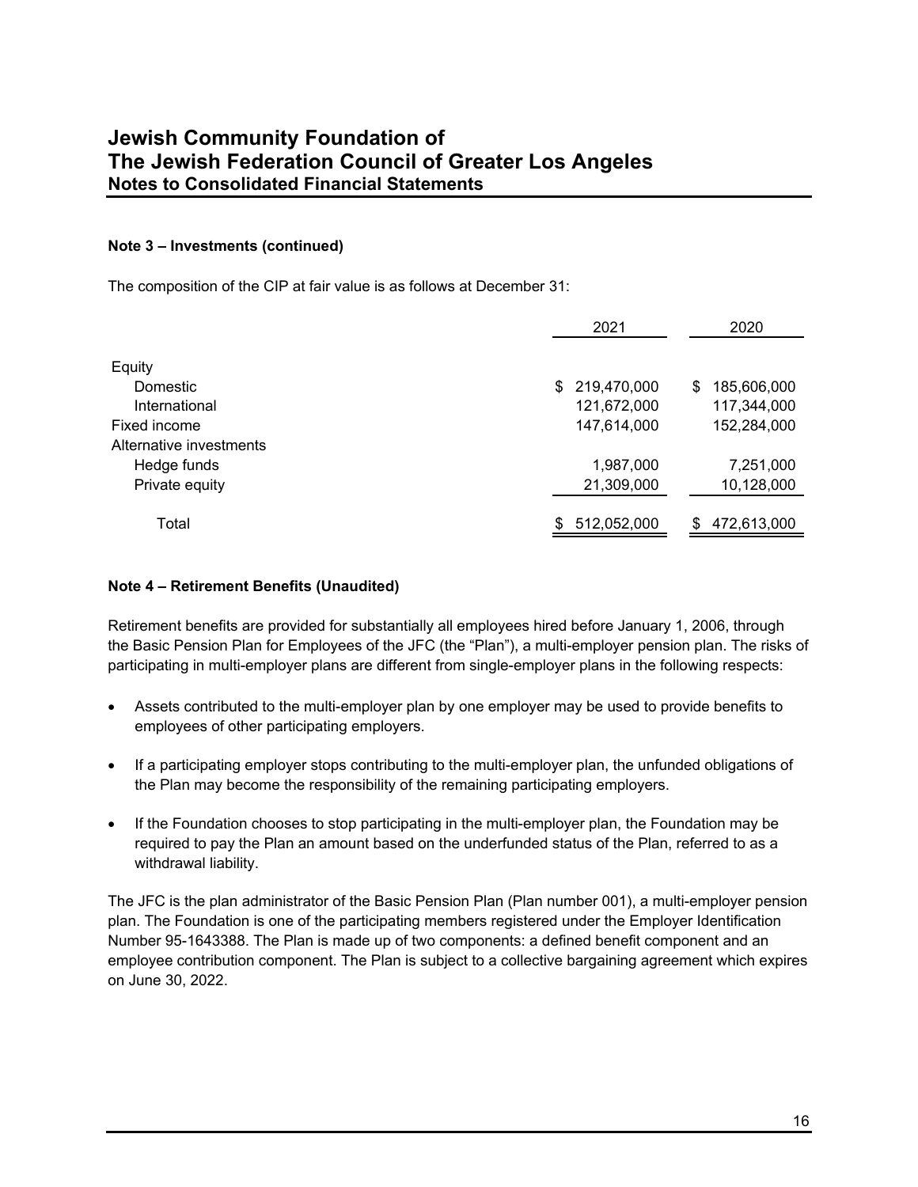### **Note 3 – Investments (continued)**

The composition of the CIP at fair value is as follows at December 31:

|                         | 2021               | 2020             |
|-------------------------|--------------------|------------------|
| Equity<br>Domestic      | 219,470,000<br>\$. | 185,606,000<br>S |
| International           | 121,672,000        | 117,344,000      |
| Fixed income            | 147,614,000        | 152,284,000      |
| Alternative investments |                    |                  |
| Hedge funds             | 1,987,000          | 7,251,000        |
| Private equity          | 21,309,000         | 10,128,000       |
| Total                   | 512,052,000<br>\$  | 472,613,000<br>S |

#### **Note 4 – Retirement Benefits (Unaudited)**

Retirement benefits are provided for substantially all employees hired before January 1, 2006, through the Basic Pension Plan for Employees of the JFC (the "Plan"), a multi-employer pension plan. The risks of participating in multi-employer plans are different from single-employer plans in the following respects:

- Assets contributed to the multi-employer plan by one employer may be used to provide benefits to employees of other participating employers.
- If a participating employer stops contributing to the multi-employer plan, the unfunded obligations of the Plan may become the responsibility of the remaining participating employers.
- If the Foundation chooses to stop participating in the multi-employer plan, the Foundation may be required to pay the Plan an amount based on the underfunded status of the Plan, referred to as a withdrawal liability.

The JFC is the plan administrator of the Basic Pension Plan (Plan number 001), a multi-employer pension plan. The Foundation is one of the participating members registered under the Employer Identification Number 95-1643388. The Plan is made up of two components: a defined benefit component and an employee contribution component. The Plan is subject to a collective bargaining agreement which expires on June 30, 2022.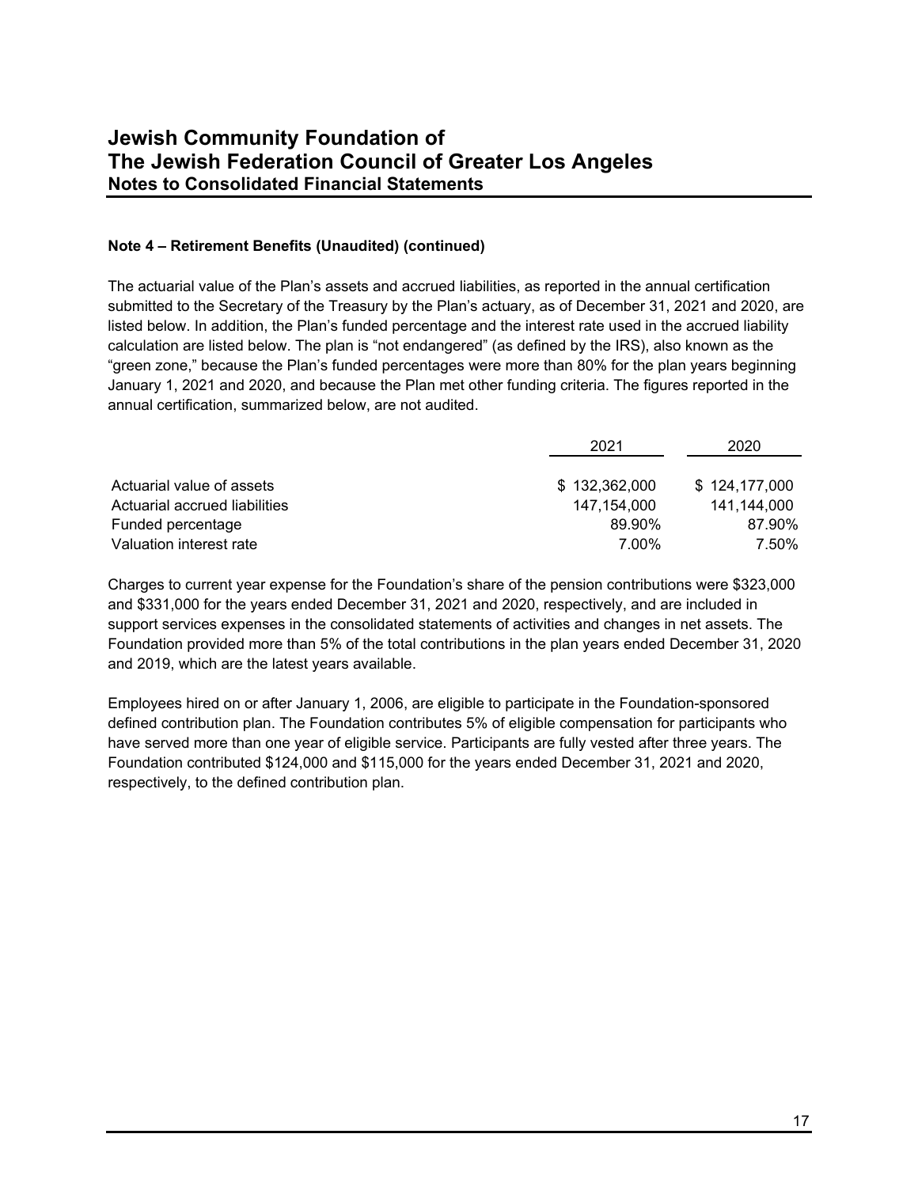### **Note 4 – Retirement Benefits (Unaudited) (continued)**

The actuarial value of the Plan's assets and accrued liabilities, as reported in the annual certification submitted to the Secretary of the Treasury by the Plan's actuary, as of December 31, 2021 and 2020, are listed below. In addition, the Plan's funded percentage and the interest rate used in the accrued liability calculation are listed below. The plan is "not endangered" (as defined by the IRS), also known as the "green zone," because the Plan's funded percentages were more than 80% for the plan years beginning January 1, 2021 and 2020, and because the Plan met other funding criteria. The figures reported in the annual certification, summarized below, are not audited.

|                               | 2021          | 2020          |  |
|-------------------------------|---------------|---------------|--|
|                               |               |               |  |
| Actuarial value of assets     | \$132,362,000 | \$124,177,000 |  |
| Actuarial accrued liabilities | 147.154.000   | 141.144.000   |  |
| Funded percentage             | 89.90%        | 87.90%        |  |
| Valuation interest rate       | 7.00%         | 7.50%         |  |

Charges to current year expense for the Foundation's share of the pension contributions were \$323,000 and \$331,000 for the years ended December 31, 2021 and 2020, respectively, and are included in support services expenses in the consolidated statements of activities and changes in net assets. The Foundation provided more than 5% of the total contributions in the plan years ended December 31, 2020 and 2019, which are the latest years available.

Employees hired on or after January 1, 2006, are eligible to participate in the Foundation-sponsored defined contribution plan. The Foundation contributes 5% of eligible compensation for participants who have served more than one year of eligible service. Participants are fully vested after three years. The Foundation contributed \$124,000 and \$115,000 for the years ended December 31, 2021 and 2020, respectively, to the defined contribution plan.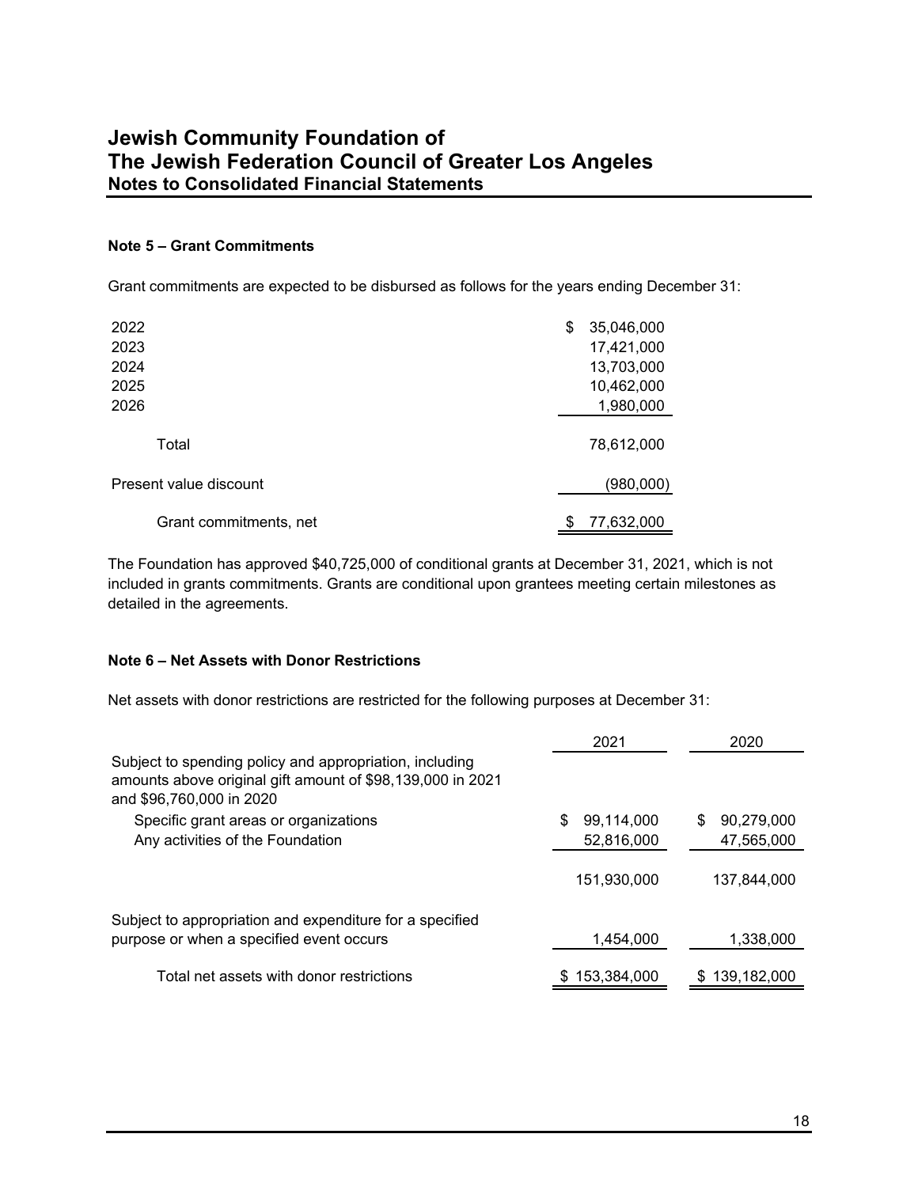### **Note 5 – Grant Commitments**

Grant commitments are expected to be disbursed as follows for the years ending December 31:

| 2022                   | \$ | 35,046,000 |
|------------------------|----|------------|
| 2023                   |    | 17,421,000 |
| 2024                   |    | 13,703,000 |
| 2025                   |    | 10,462,000 |
| 2026                   |    | 1,980,000  |
| Total                  |    | 78,612,000 |
| Present value discount |    | (980,000)  |
| Grant commitments, net | S  | 77,632,000 |

The Foundation has approved \$40,725,000 of conditional grants at December 31, 2021, which is not included in grants commitments. Grants are conditional upon grantees meeting certain milestones as detailed in the agreements.

#### **Note 6 – Net Assets with Donor Restrictions**

Net assets with donor restrictions are restricted for the following purposes at December 31:

|                                                                                                                                                   | 2021        | 2020            |
|---------------------------------------------------------------------------------------------------------------------------------------------------|-------------|-----------------|
| Subject to spending policy and appropriation, including<br>amounts above original gift amount of \$98,139,000 in 2021<br>and \$96,760,000 in 2020 |             |                 |
| Specific grant areas or organizations                                                                                                             | 99,114,000  | 90.279.000<br>S |
| Any activities of the Foundation                                                                                                                  | 52,816,000  | 47,565,000      |
|                                                                                                                                                   | 151,930,000 | 137,844,000     |
| Subject to appropriation and expenditure for a specified<br>purpose or when a specified event occurs                                              | 1,454,000   | 1,338,000       |
| Total net assets with donor restrictions                                                                                                          | 153,384,000 | 139,182,000     |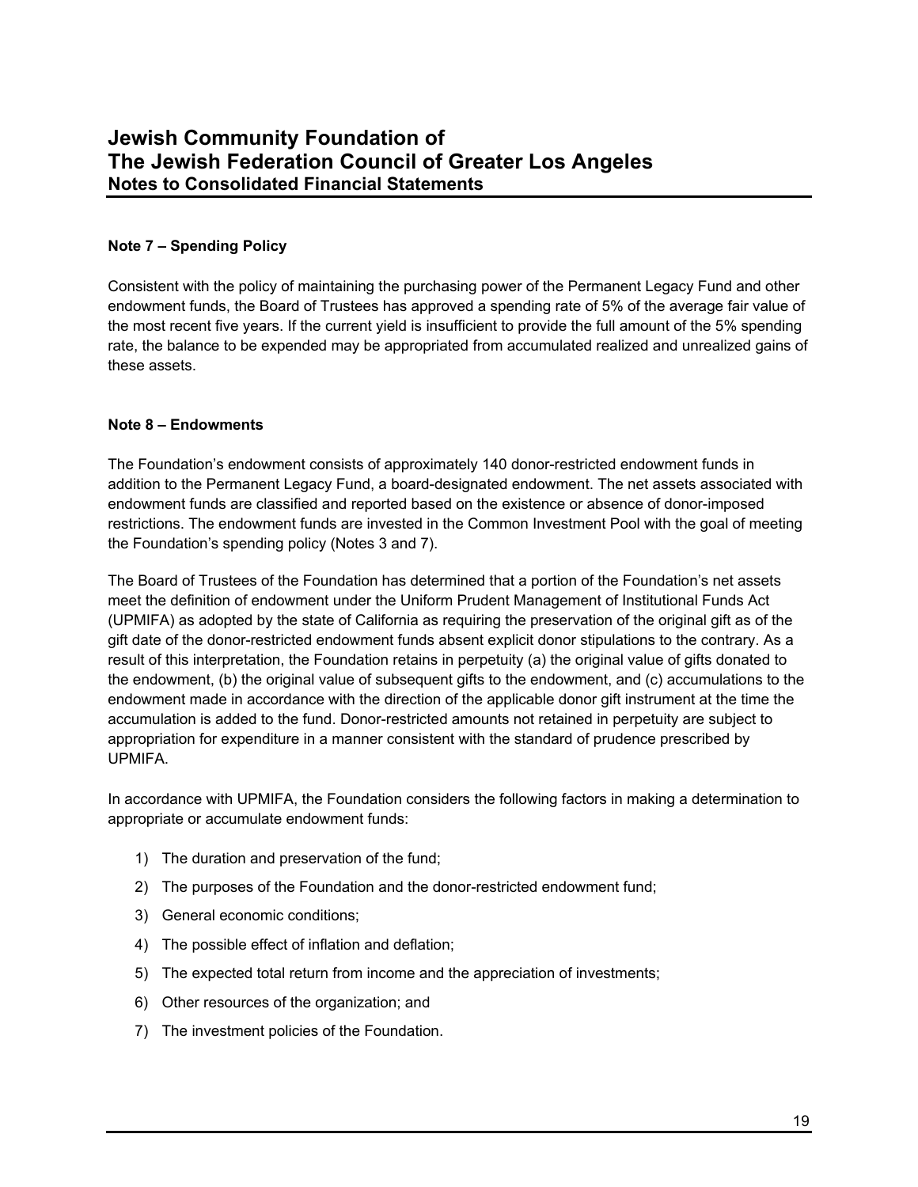### **Note 7 – Spending Policy**

Consistent with the policy of maintaining the purchasing power of the Permanent Legacy Fund and other endowment funds, the Board of Trustees has approved a spending rate of 5% of the average fair value of the most recent five years. If the current yield is insufficient to provide the full amount of the 5% spending rate, the balance to be expended may be appropriated from accumulated realized and unrealized gains of these assets.

### **Note 8 – Endowments**

The Foundation's endowment consists of approximately 140 donor-restricted endowment funds in addition to the Permanent Legacy Fund, a board-designated endowment. The net assets associated with endowment funds are classified and reported based on the existence or absence of donor-imposed restrictions. The endowment funds are invested in the Common Investment Pool with the goal of meeting the Foundation's spending policy (Notes 3 and 7).

The Board of Trustees of the Foundation has determined that a portion of the Foundation's net assets meet the definition of endowment under the Uniform Prudent Management of Institutional Funds Act (UPMIFA) as adopted by the state of California as requiring the preservation of the original gift as of the gift date of the donor-restricted endowment funds absent explicit donor stipulations to the contrary. As a result of this interpretation, the Foundation retains in perpetuity (a) the original value of gifts donated to the endowment, (b) the original value of subsequent gifts to the endowment, and (c) accumulations to the endowment made in accordance with the direction of the applicable donor gift instrument at the time the accumulation is added to the fund. Donor-restricted amounts not retained in perpetuity are subject to appropriation for expenditure in a manner consistent with the standard of prudence prescribed by UPMIFA.

In accordance with UPMIFA, the Foundation considers the following factors in making a determination to appropriate or accumulate endowment funds:

- 1) The duration and preservation of the fund;
- 2) The purposes of the Foundation and the donor-restricted endowment fund;
- 3) General economic conditions;
- 4) The possible effect of inflation and deflation;
- 5) The expected total return from income and the appreciation of investments;
- 6) Other resources of the organization; and
- 7) The investment policies of the Foundation.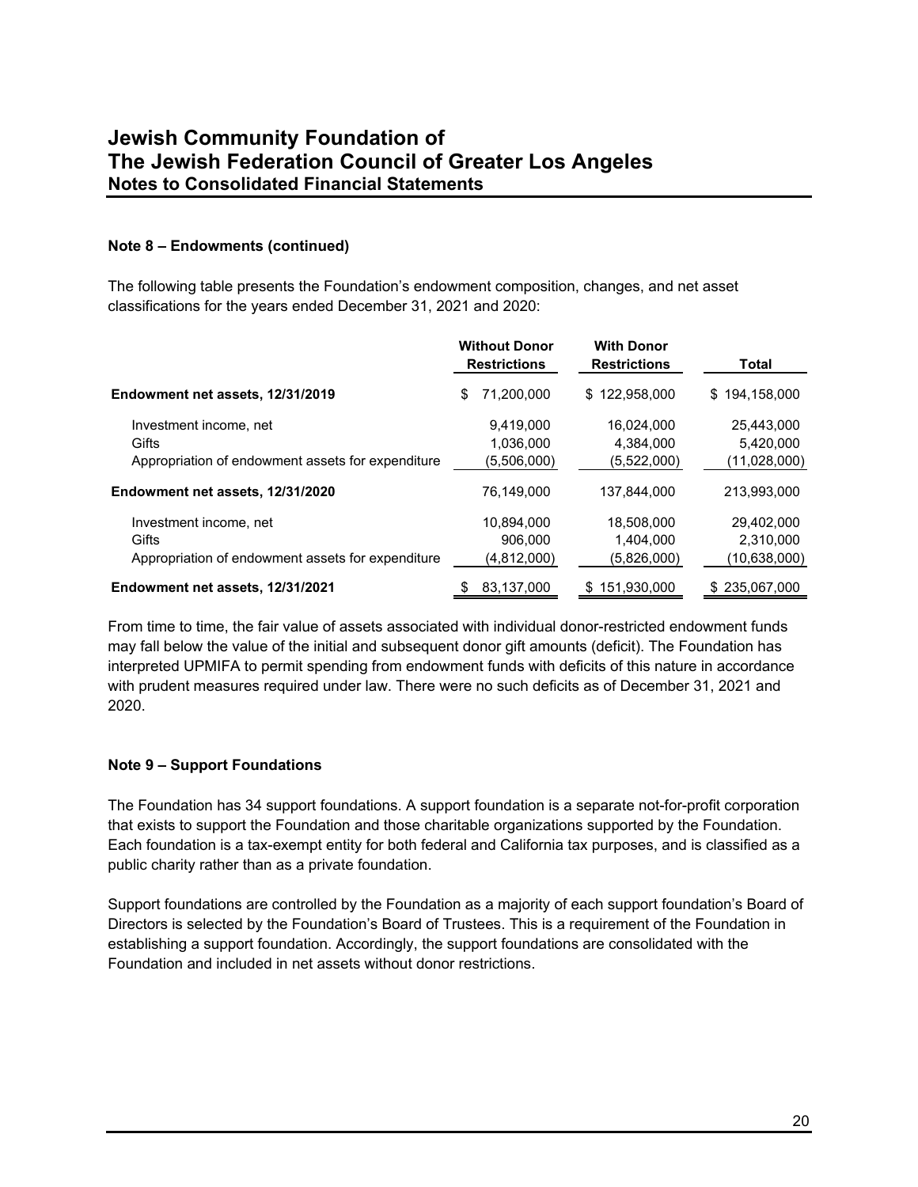### **Note 8 – Endowments (continued)**

The following table presents the Foundation's endowment composition, changes, and net asset classifications for the years ended December 31, 2021 and 2020:

|                                                                                      | <b>Without Donor</b><br><b>Restrictions</b> | <b>With Donor</b><br><b>Restrictions</b> | Total                                     |  |
|--------------------------------------------------------------------------------------|---------------------------------------------|------------------------------------------|-------------------------------------------|--|
| Endowment net assets, 12/31/2019                                                     | 71,200,000<br>\$                            | \$122,958,000                            | 194,158,000<br>\$.                        |  |
| Investment income, net<br>Gifts<br>Appropriation of endowment assets for expenditure | 9.419.000<br>1.036.000<br>(5,506,000)       | 16.024.000<br>4.384.000<br>(5,522,000)   | 25.443.000<br>5,420,000<br>(11,028,000)   |  |
| Endowment net assets, 12/31/2020                                                     | 76.149.000                                  | 137.844.000                              | 213.993.000                               |  |
| Investment income, net<br>Gifts<br>Appropriation of endowment assets for expenditure | 10.894.000<br>906.000<br>(4,812,000)        | 18,508,000<br>1.404.000<br>(5,826,000)   | 29.402.000<br>2,310,000<br>(10, 638, 000) |  |
| Endowment net assets, 12/31/2021                                                     | 83,137,000                                  | 151,930,000<br>S                         | \$235,067,000                             |  |

From time to time, the fair value of assets associated with individual donor-restricted endowment funds may fall below the value of the initial and subsequent donor gift amounts (deficit). The Foundation has interpreted UPMIFA to permit spending from endowment funds with deficits of this nature in accordance with prudent measures required under law. There were no such deficits as of December 31, 2021 and 2020.

### **Note 9 – Support Foundations**

The Foundation has 34 support foundations. A support foundation is a separate not-for-profit corporation that exists to support the Foundation and those charitable organizations supported by the Foundation. Each foundation is a tax-exempt entity for both federal and California tax purposes, and is classified as a public charity rather than as a private foundation.

Support foundations are controlled by the Foundation as a majority of each support foundation's Board of Directors is selected by the Foundation's Board of Trustees. This is a requirement of the Foundation in establishing a support foundation. Accordingly, the support foundations are consolidated with the Foundation and included in net assets without donor restrictions.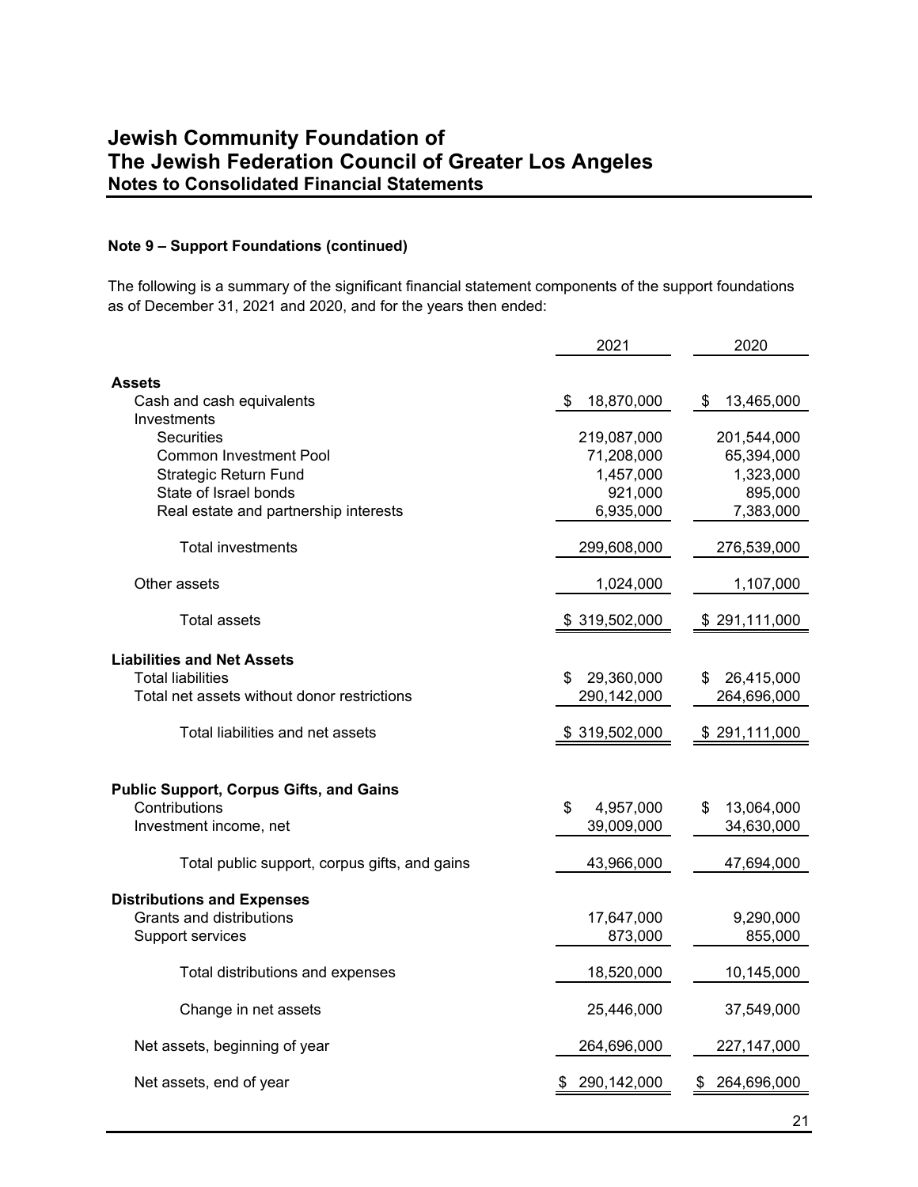#### **Note 9 – Support Foundations (continued)**

The following is a summary of the significant financial statement components of the support foundations as of December 31, 2021 and 2020, and for the years then ended:

|                                                | 2021             | 2020             |
|------------------------------------------------|------------------|------------------|
|                                                |                  |                  |
| <b>Assets</b>                                  |                  |                  |
| Cash and cash equivalents                      | 18,870,000<br>S  | 13,465,000<br>S  |
| Investments                                    |                  |                  |
| <b>Securities</b>                              | 219,087,000      | 201,544,000      |
| <b>Common Investment Pool</b>                  | 71,208,000       | 65,394,000       |
| <b>Strategic Return Fund</b>                   | 1,457,000        | 1,323,000        |
| State of Israel bonds                          | 921,000          | 895,000          |
| Real estate and partnership interests          | 6,935,000        | 7,383,000        |
| <b>Total investments</b>                       | 299,608,000      | 276,539,000      |
| Other assets                                   | 1,024,000        | 1,107,000        |
| <b>Total assets</b>                            | \$319,502,000    | \$291,111,000    |
|                                                |                  |                  |
| <b>Liabilities and Net Assets</b>              |                  |                  |
| <b>Total liabilities</b>                       | 29,360,000<br>\$ | \$<br>26,415,000 |
| Total net assets without donor restrictions    | 290,142,000      | 264,696,000      |
| Total liabilities and net assets               | \$319,502,000    | \$291,111,000    |
|                                                |                  |                  |
| <b>Public Support, Corpus Gifts, and Gains</b> |                  |                  |
| Contributions                                  | \$<br>4,957,000  | 13,064,000<br>\$ |
| Investment income, net                         | 39,009,000       | 34,630,000       |
|                                                |                  |                  |
| Total public support, corpus gifts, and gains  | 43,966,000       | 47,694,000       |
| <b>Distributions and Expenses</b>              |                  |                  |
| Grants and distributions                       | 17,647,000       | 9,290,000        |
| Support services                               | 873,000          | 855,000          |
|                                                |                  |                  |
| Total distributions and expenses               | 18,520,000       | 10,145,000       |
| Change in net assets                           | 25,446,000       | 37,549,000       |
| Net assets, beginning of year                  | 264,696,000      | 227, 147, 000    |
| Net assets, end of year                        | 290,142,000      | 264,696,000      |
|                                                |                  |                  |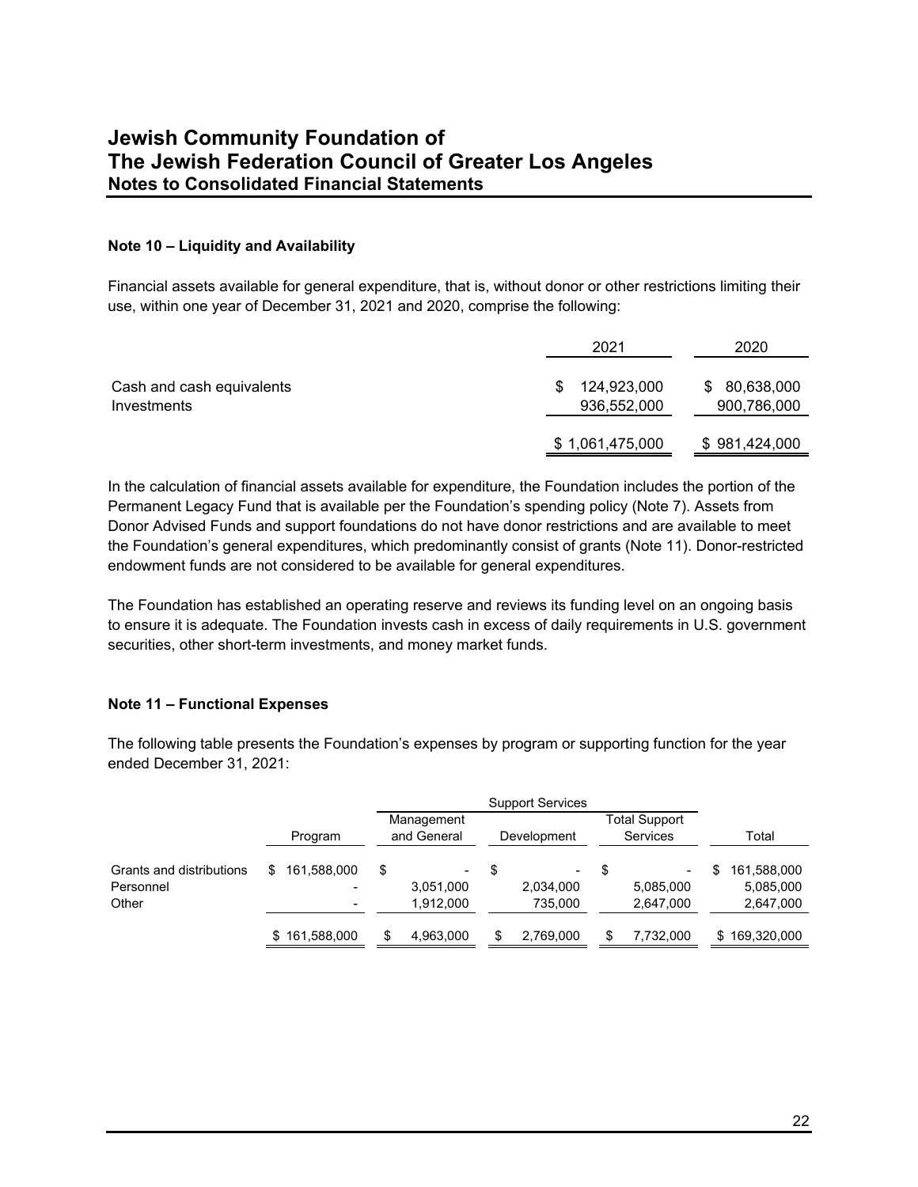### **Note 10 – Liquidity and Availability**

Financial assets available for general expenditure, that is, without donor or other restrictions limiting their use, within one year of December 31, 2021 and 2020, comprise the following:

|                                          | 2021                             | 2020                            |
|------------------------------------------|----------------------------------|---------------------------------|
| Cash and cash equivalents<br>Investments | 124,923,000<br>S.<br>936,552,000 | 80,638,000<br>S.<br>900,786,000 |
|                                          | \$1,061,475,000                  | \$981,424,000                   |

In the calculation of financial assets available for expenditure, the Foundation includes the portion of the Permanent Legacy Fund that is available per the Foundation's spending policy (Note 7). Assets from Donor Advised Funds and support foundations do not have donor restrictions and are available to meet the Foundation's general expenditures, which predominantly consist of grants (Note 11). Donor-restricted endowment funds are not considered to be available for general expenditures.

The Foundation has established an operating reserve and reviews its funding level on an ongoing basis to ensure it is adequate. The Foundation invests cash in excess of daily requirements in U.S. government securities, other short-term investments, and money market funds.

### **Note 11 – Functional Expenses**

The following table presents the Foundation's expenses by program or supporting function for the year ended December 31, 2021:

|                          | <b>Support Services</b> |    |                           |   |                      |   |                                  |    |                        |
|--------------------------|-------------------------|----|---------------------------|---|----------------------|---|----------------------------------|----|------------------------|
|                          | Program                 |    | Management<br>and General |   | Development          |   | Total Support<br><b>Services</b> |    | Total                  |
| Grants and distributions | 161,588,000             | \$ |                           | S |                      | S | ٠                                | S  | 161,588,000            |
| Personnel<br>Other       |                         |    | 3,051,000<br>1,912,000    |   | 2,034,000<br>735.000 |   | 5,085,000<br>2,647,000           |    | 5,085,000<br>2,647,000 |
|                          | \$161,588,000           |    | 4,963,000                 |   | 2,769,000            |   | 7,732,000                        | S. | 169,320,000            |